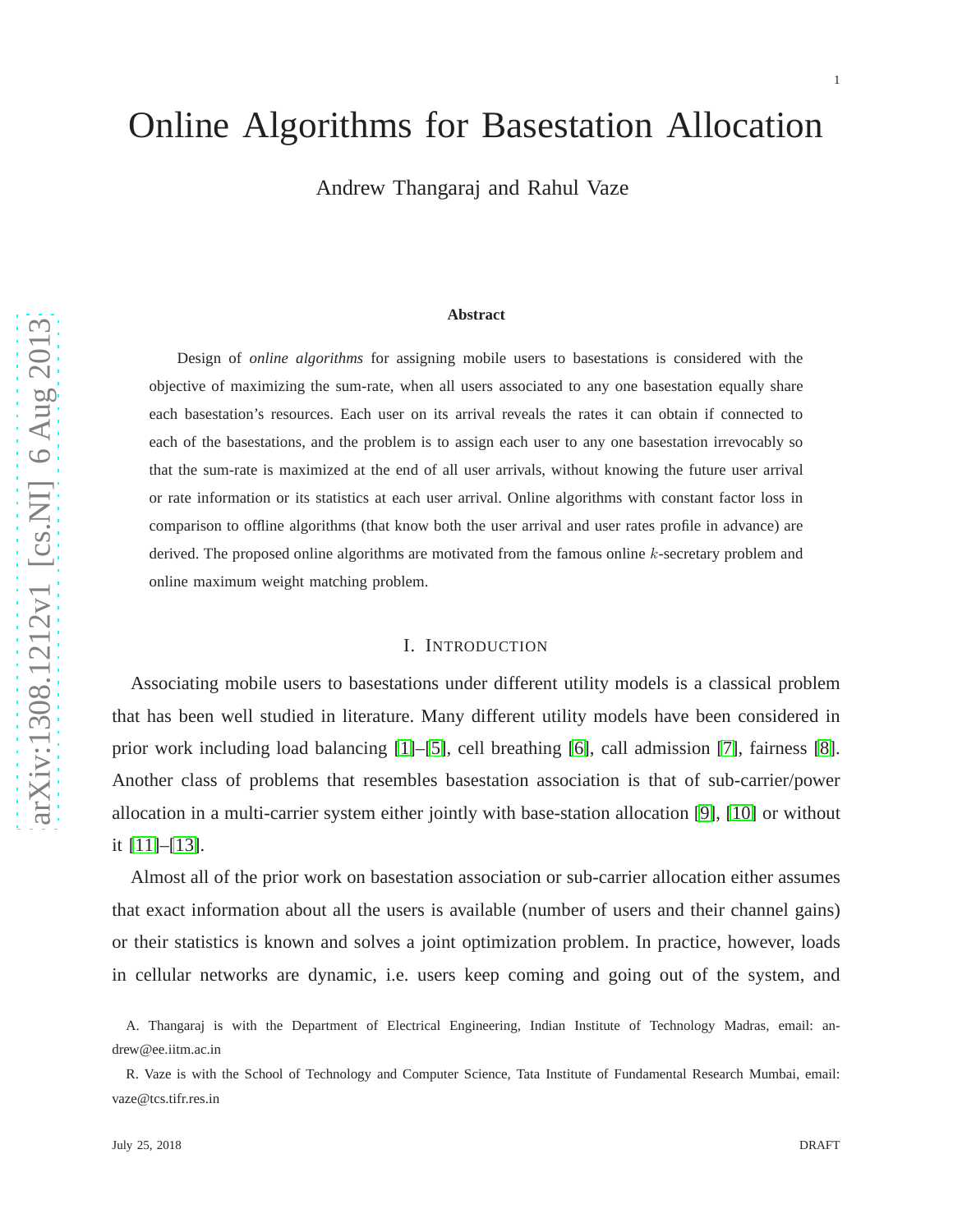# Online Algorithms for Basestation Allocation

Andrew Thangaraj and Rahul Vaze

#### **Abstract**

Design of *online algorithms* for assigning mobile users to basestations is considered with the objective of maximizing the sum-rate, when all users associated to any one basestation equally share each basestation's resources. Each user on its arrival reveals the rates it can obtain if connected to each of the basestations, and the problem is to assign each user to any one basestation irrevocably so that the sum-rate is maximized at the end of all user arrivals, without knowing the future user arrival or rate information or its statistics at each user arrival. Online algorithms with constant factor loss in comparison to offline algorithms (that know both the user arrival and user rates profile in advance) are derived. The proposed online algorithms are motivated from the famous online k-secretary problem and online maximum weight matching problem.

#### I. INTRODUCTION

Associating mobile users to basestations under different utility models is a classical problem that has been well studied in literature. Many different utility models have been considered in prior work including load balancing [\[1\]](#page-28-0)–[\[5\]](#page-29-0), cell breathing [\[6\]](#page-29-1), call admission [\[7\]](#page-29-2), fairness [\[8\]](#page-29-3). Another class of problems that resembles basestation association is that of sub-carrier/power allocation in a multi-carrier system either jointly with base-station allocation [\[9\]](#page-29-4), [\[10\]](#page-29-5) or without it [\[11\]](#page-29-6)–[\[13\]](#page-29-7).

Almost all of the prior work on basestation association or sub-carrier allocation either assumes that exact information about all the users is available (number of users and their channel gains) or their statistics is known and solves a joint optimization problem. In practice, however, loads in cellular networks are dynamic, i.e. users keep coming and going out of the system, and

A. Thangaraj is with the Department of Electrical Engineering, Indian Institute of Technology Madras, email: andrew@ee.iitm.ac.in

R. Vaze is with the School of Technology and Computer Science, Tata Institute of Fundamental Research Mumbai, email: vaze@tcs.tifr.res.in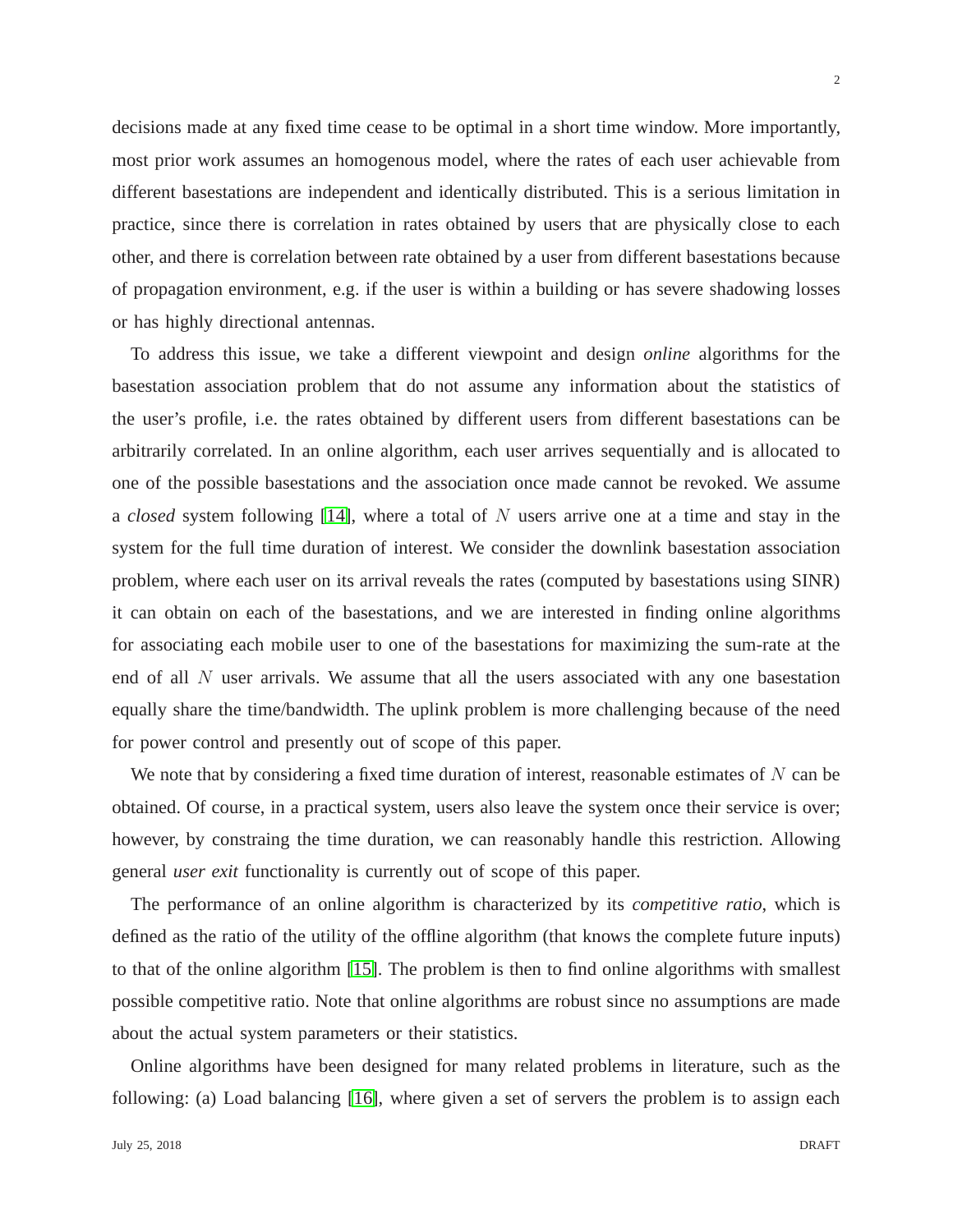decisions made at any fixed time cease to be optimal in a short time window. More importantly, most prior work assumes an homogenous model, where the rates of each user achievable from different basestations are independent and identically distributed. This is a serious limitation in practice, since there is correlation in rates obtained by users that are physically close to each other, and there is correlation between rate obtained by a user from different basestations because of propagation environment, e.g. if the user is within a building or has severe shadowing losses or has highly directional antennas.

To address this issue, we take a different viewpoint and design *online* algorithms for the basestation association problem that do not assume any information about the statistics of the user's profile, i.e. the rates obtained by different users from different basestations can be arbitrarily correlated. In an online algorithm, each user arrives sequentially and is allocated to one of the possible basestations and the association once made cannot be revoked. We assume a *closed* system following [\[14\]](#page-29-8), where a total of N users arrive one at a time and stay in the system for the full time duration of interest. We consider the downlink basestation association problem, where each user on its arrival reveals the rates (computed by basestations using SINR) it can obtain on each of the basestations, and we are interested in finding online algorithms for associating each mobile user to one of the basestations for maximizing the sum-rate at the end of all N user arrivals. We assume that all the users associated with any one basestation equally share the time/bandwidth. The uplink problem is more challenging because of the need for power control and presently out of scope of this paper.

We note that by considering a fixed time duration of interest, reasonable estimates of  $N$  can be obtained. Of course, in a practical system, users also leave the system once their service is over; however, by constraing the time duration, we can reasonably handle this restriction. Allowing general *user exit* functionality is currently out of scope of this paper.

The performance of an online algorithm is characterized by its *competitive ratio*, which is defined as the ratio of the utility of the offline algorithm (that knows the complete future inputs) to that of the online algorithm [\[15\]](#page-29-9). The problem is then to find online algorithms with smallest possible competitive ratio. Note that online algorithms are robust since no assumptions are made about the actual system parameters or their statistics.

Online algorithms have been designed for many related problems in literature, such as the following: (a) Load balancing [\[16\]](#page-29-10), where given a set of servers the problem is to assign each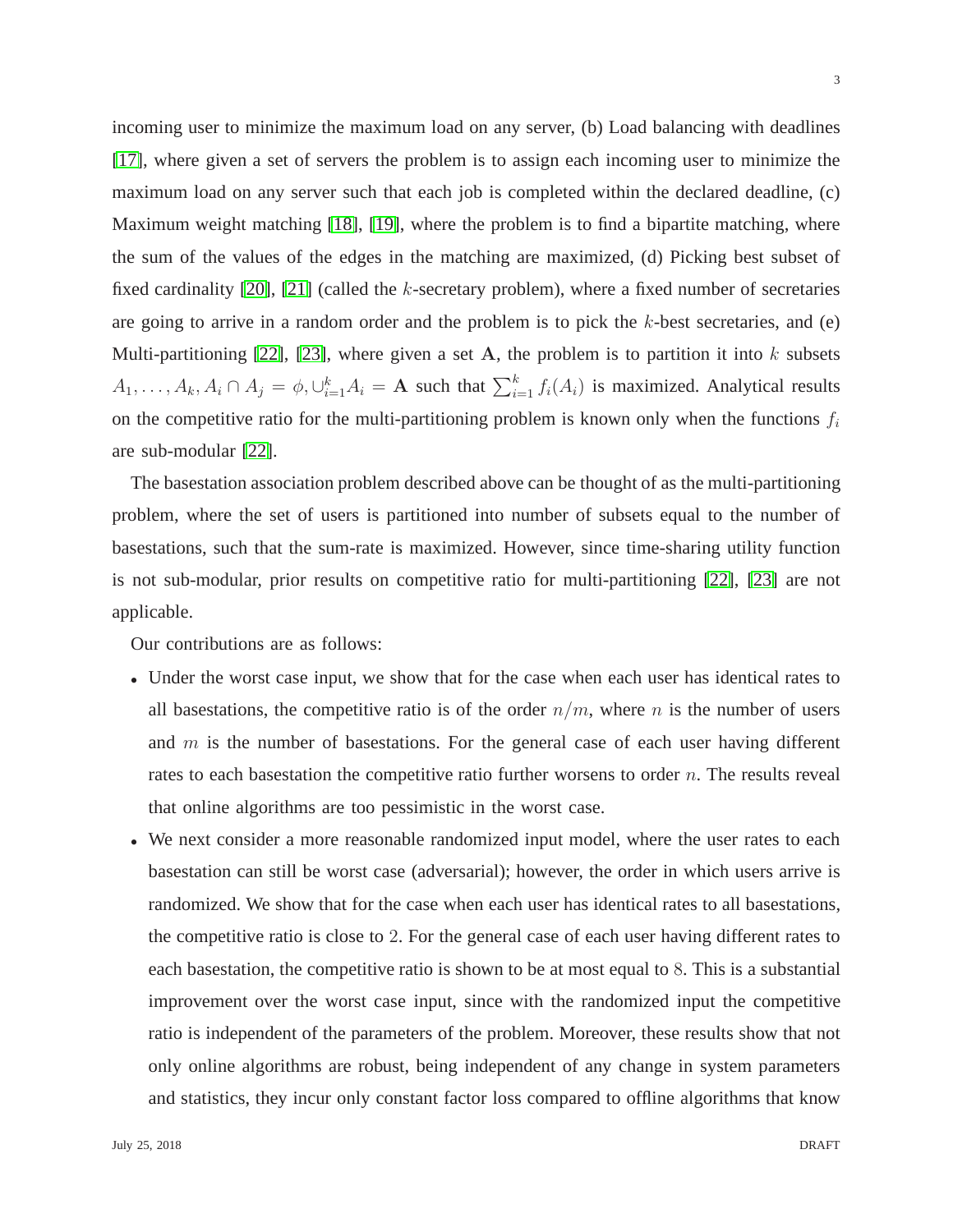3

incoming user to minimize the maximum load on any server, (b) Load balancing with deadlines [\[17\]](#page-29-11), where given a set of servers the problem is to assign each incoming user to minimize the maximum load on any server such that each job is completed within the declared deadline, (c) Maximum weight matching [\[18\]](#page-29-12), [\[19\]](#page-29-13), where the problem is to find a bipartite matching, where the sum of the values of the edges in the matching are maximized, (d) Picking best subset of fixed cardinality  $[20]$ ,  $[21]$  (called the k-secretary problem), where a fixed number of secretaries are going to arrive in a random order and the problem is to pick the k-best secretaries, and (e) Multi-partitioning [\[22\]](#page-29-16), [\[23\]](#page-30-0), where given a set A, the problem is to partition it into  $k$  subsets  $A_1, \ldots, A_k, A_i \cap A_j = \phi, \bigcup_{i=1}^k A_i = \mathbf{A}$  such that  $\sum_{i=1}^k f_i(A_i)$  is maximized. Analytical results on the competitive ratio for the multi-partitioning problem is known only when the functions  $f_i$ are sub-modular [\[22\]](#page-29-16).

The basestation association problem described above can be thought of as the multi-partitioning problem, where the set of users is partitioned into number of subsets equal to the number of basestations, such that the sum-rate is maximized. However, since time-sharing utility function is not sub-modular, prior results on competitive ratio for multi-partitioning [\[22\]](#page-29-16), [\[23\]](#page-30-0) are not applicable.

Our contributions are as follows:

- Under the worst case input, we show that for the case when each user has identical rates to all basestations, the competitive ratio is of the order  $n/m$ , where n is the number of users and  $m$  is the number of basestations. For the general case of each user having different rates to each basestation the competitive ratio further worsens to order  $n$ . The results reveal that online algorithms are too pessimistic in the worst case.
- We next consider a more reasonable randomized input model, where the user rates to each basestation can still be worst case (adversarial); however, the order in which users arrive is randomized. We show that for the case when each user has identical rates to all basestations, the competitive ratio is close to 2. For the general case of each user having different rates to each basestation, the competitive ratio is shown to be at most equal to 8. This is a substantial improvement over the worst case input, since with the randomized input the competitive ratio is independent of the parameters of the problem. Moreover, these results show that not only online algorithms are robust, being independent of any change in system parameters and statistics, they incur only constant factor loss compared to offline algorithms that know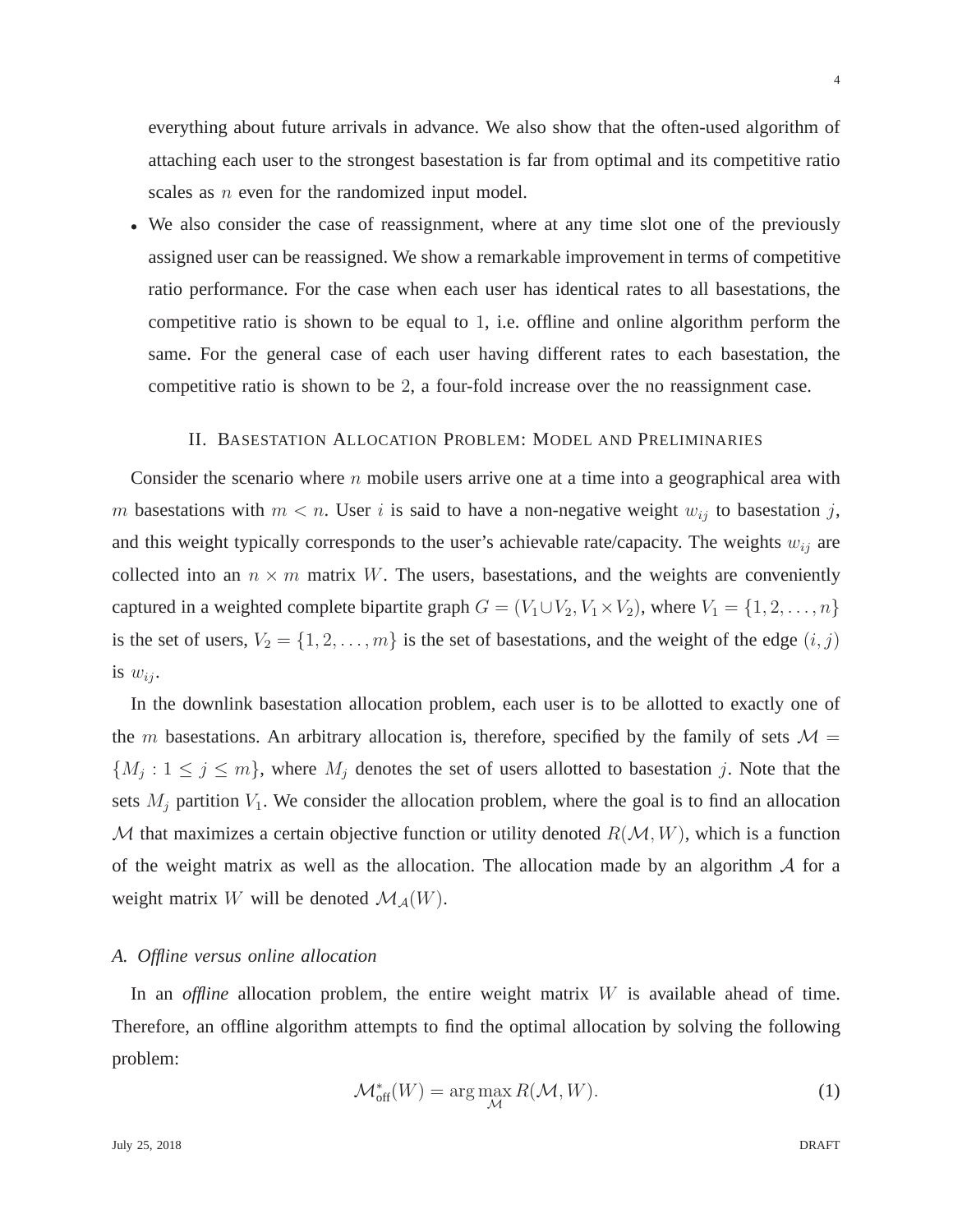everything about future arrivals in advance. We also show that the often-used algorithm of attaching each user to the strongest basestation is far from optimal and its competitive ratio scales as *n* even for the randomized input model.

• We also consider the case of reassignment, where at any time slot one of the previously assigned user can be reassigned. We show a remarkable improvement in terms of competitive ratio performance. For the case when each user has identical rates to all basestations, the competitive ratio is shown to be equal to 1, i.e. offline and online algorithm perform the same. For the general case of each user having different rates to each basestation, the competitive ratio is shown to be 2, a four-fold increase over the no reassignment case.

#### II. BASESTATION ALLOCATION PROBLEM: MODEL AND PRELIMINARIES

Consider the scenario where  $n$  mobile users arrive one at a time into a geographical area with m basestations with  $m < n$ . User i is said to have a non-negative weight  $w_{ij}$  to basestation j, and this weight typically corresponds to the user's achievable rate/capacity. The weights  $w_{ij}$  are collected into an  $n \times m$  matrix W. The users, basestations, and the weights are conveniently captured in a weighted complete bipartite graph  $G = (V_1 \cup V_2, V_1 \times V_2)$ , where  $V_1 = \{1, 2, ..., n\}$ is the set of users,  $V_2 = \{1, 2, \ldots, m\}$  is the set of basestations, and the weight of the edge  $(i, j)$ is  $w_{ii}$ .

In the downlink basestation allocation problem, each user is to be allotted to exactly one of the m basestations. An arbitrary allocation is, therefore, specified by the family of sets  $\mathcal{M} =$  $\{M_j : 1 \le j \le m\}$ , where  $M_j$  denotes the set of users allotted to basestation j. Note that the sets  $M_i$  partition  $V_1$ . We consider the allocation problem, where the goal is to find an allocation M that maximizes a certain objective function or utility denoted  $R(M, W)$ , which is a function of the weight matrix as well as the allocation. The allocation made by an algorithm  $\mathcal A$  for a weight matrix W will be denoted  $\mathcal{M}_{\mathcal{A}}(W)$ .

## *A. Offline versus online allocation*

In an *offline* allocation problem, the entire weight matrix W is available ahead of time. Therefore, an offline algorithm attempts to find the optimal allocation by solving the following problem:

$$
\mathcal{M}_{\text{off}}^*(W) = \arg\max_{\mathcal{M}} R(\mathcal{M}, W). \tag{1}
$$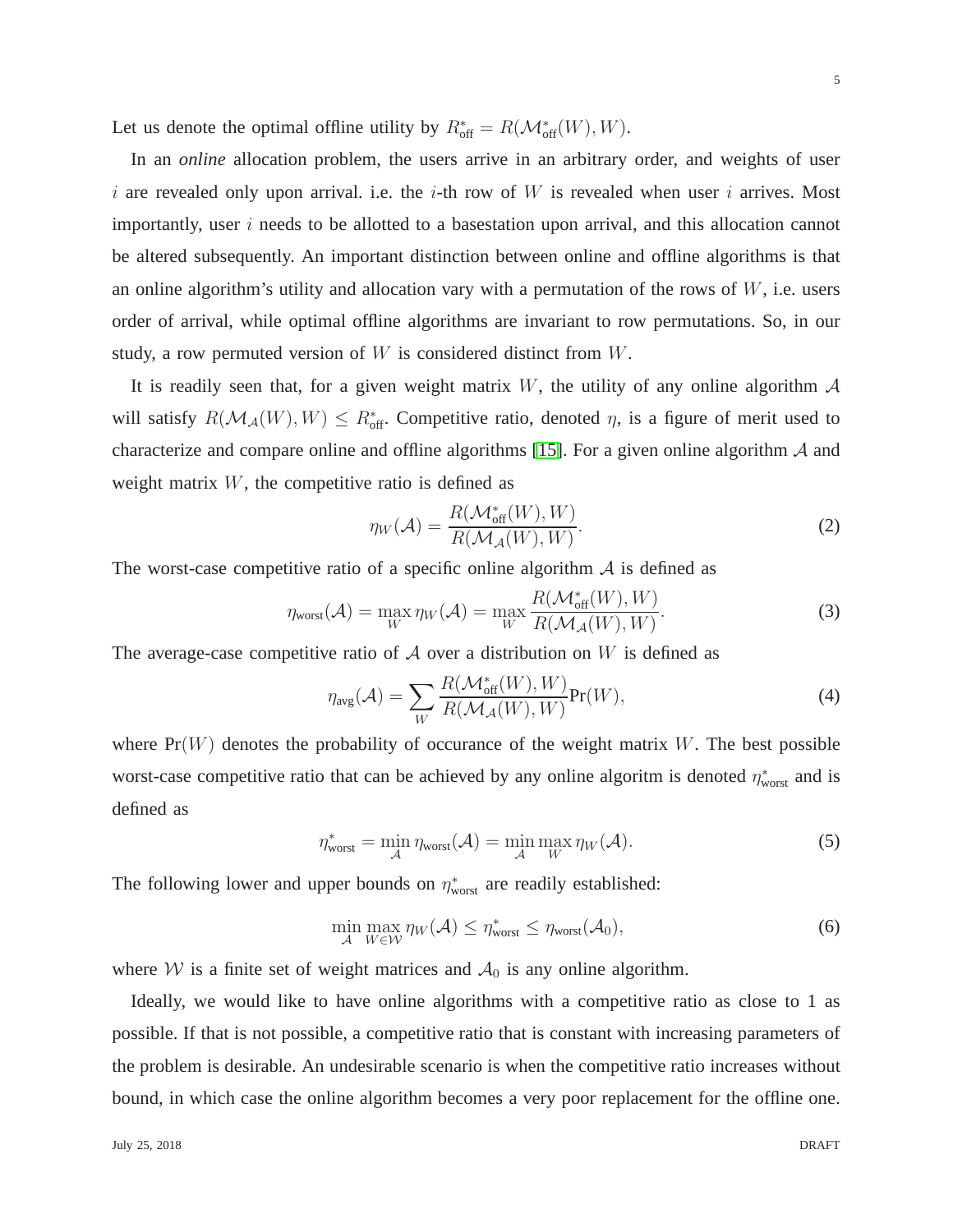Let us denote the optimal offline utility by  $R_{off}^* = R(\mathcal{M}_{off}^*(W), W)$ .

In an *online* allocation problem, the users arrive in an arbitrary order, and weights of user i are revealed only upon arrival. i.e. the i-th row of W is revealed when user i arrives. Most importantly, user  $i$  needs to be allotted to a basestation upon arrival, and this allocation cannot be altered subsequently. An important distinction between online and offline algorithms is that an online algorithm's utility and allocation vary with a permutation of the rows of  $W$ , i.e. users order of arrival, while optimal offline algorithms are invariant to row permutations. So, in our study, a row permuted version of W is considered distinct from W.

It is readily seen that, for a given weight matrix W, the utility of any online algorithm  $\mathcal A$ will satisfy  $R(\mathcal{M}_{\mathcal{A}}(W), W) \le R_{\text{off}}^*$ . Competitive ratio, denoted  $\eta$ , is a figure of merit used to characterize and compare online and offline algorithms [\[15\]](#page-29-9). For a given online algorithm A and weight matrix  $W$ , the competitive ratio is defined as

$$
\eta_W(\mathcal{A}) = \frac{R(\mathcal{M}_{\text{off}}^*(W), W)}{R(\mathcal{M}_{\mathcal{A}}(W), W)}.
$$
\n(2)

The worst-case competitive ratio of a specific online algorithm  $A$  is defined as

$$
\eta_{\text{worst}}(\mathcal{A}) = \max_{W} \eta_{W}(\mathcal{A}) = \max_{W} \frac{R(\mathcal{M}_{\text{off}}^{*}(W), W)}{R(\mathcal{M}_{\mathcal{A}}(W), W)}.
$$
\n(3)

The average-case competitive ratio of  $A$  over a distribution on W is defined as

$$
\eta_{\text{avg}}(\mathcal{A}) = \sum_{W} \frac{R(\mathcal{M}_{\text{off}}^*(W), W)}{R(\mathcal{M}_{\mathcal{A}}(W), W)} \text{Pr}(W), \tag{4}
$$

where  $Pr(W)$  denotes the probability of occurance of the weight matrix W. The best possible worst-case competitive ratio that can be achieved by any online algoritm is denoted  $\eta^*_{\text{worst}}$  and is defined as

$$
\eta_{\text{worst}}^* = \min_{\mathcal{A}} \eta_{\text{worst}}(\mathcal{A}) = \min_{\mathcal{A}} \max_{W} \eta_W(\mathcal{A}). \tag{5}
$$

The following lower and upper bounds on  $\eta^*_{\text{worst}}$  are readily established:

<span id="page-4-0"></span>
$$
\min_{\mathcal{A}} \max_{W \in \mathcal{W}} \eta_W(\mathcal{A}) \le \eta_{\text{worst}}^* \le \eta_{\text{worst}}(\mathcal{A}_0),\tag{6}
$$

where W is a finite set of weight matrices and  $A_0$  is any online algorithm.

Ideally, we would like to have online algorithms with a competitive ratio as close to 1 as possible. If that is not possible, a competitive ratio that is constant with increasing parameters of the problem is desirable. An undesirable scenario is when the competitive ratio increases without bound, in which case the online algorithm becomes a very poor replacement for the offline one.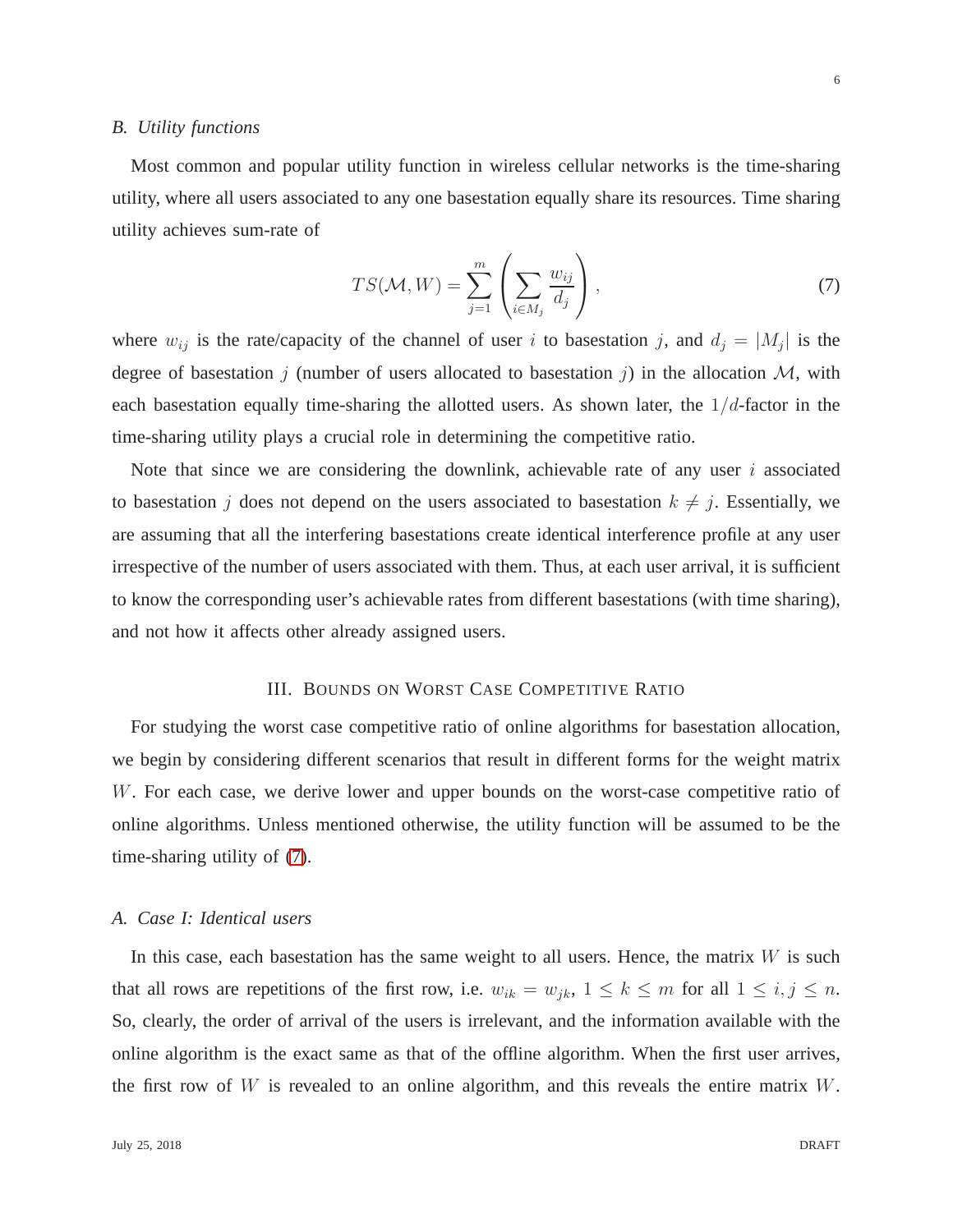#### *B. Utility functions*

Most common and popular utility function in wireless cellular networks is the time-sharing utility, where all users associated to any one basestation equally share its resources. Time sharing utility achieves sum-rate of

<span id="page-5-0"></span>
$$
TS(\mathcal{M}, W) = \sum_{j=1}^{m} \left( \sum_{i \in M_j} \frac{w_{ij}}{d_j} \right), \tag{7}
$$

where  $w_{ij}$  is the rate/capacity of the channel of user i to basestation j, and  $d_j = |M_j|$  is the degree of basestation j (number of users allocated to basestation j) in the allocation  $M$ , with each basestation equally time-sharing the allotted users. As shown later, the  $1/d$ -factor in the time-sharing utility plays a crucial role in determining the competitive ratio.

Note that since we are considering the downlink, achievable rate of any user  $i$  associated to basestation j does not depend on the users associated to basestation  $k \neq j$ . Essentially, we are assuming that all the interfering basestations create identical interference profile at any user irrespective of the number of users associated with them. Thus, at each user arrival, it is sufficient to know the corresponding user's achievable rates from different basestations (with time sharing), and not how it affects other already assigned users.

## III. BOUNDS ON WORST CASE COMPETITIVE RATIO

For studying the worst case competitive ratio of online algorithms for basestation allocation, we begin by considering different scenarios that result in different forms for the weight matrix W. For each case, we derive lower and upper bounds on the worst-case competitive ratio of online algorithms. Unless mentioned otherwise, the utility function will be assumed to be the time-sharing utility of [\(7\)](#page-5-0).

## *A. Case I: Identical users*

In this case, each basestation has the same weight to all users. Hence, the matrix  $W$  is such that all rows are repetitions of the first row, i.e.  $w_{ik} = w_{jk}$ ,  $1 \leq k \leq m$  for all  $1 \leq i, j \leq n$ . So, clearly, the order of arrival of the users is irrelevant, and the information available with the online algorithm is the exact same as that of the offline algorithm. When the first user arrives, the first row of  $W$  is revealed to an online algorithm, and this reveals the entire matrix  $W$ .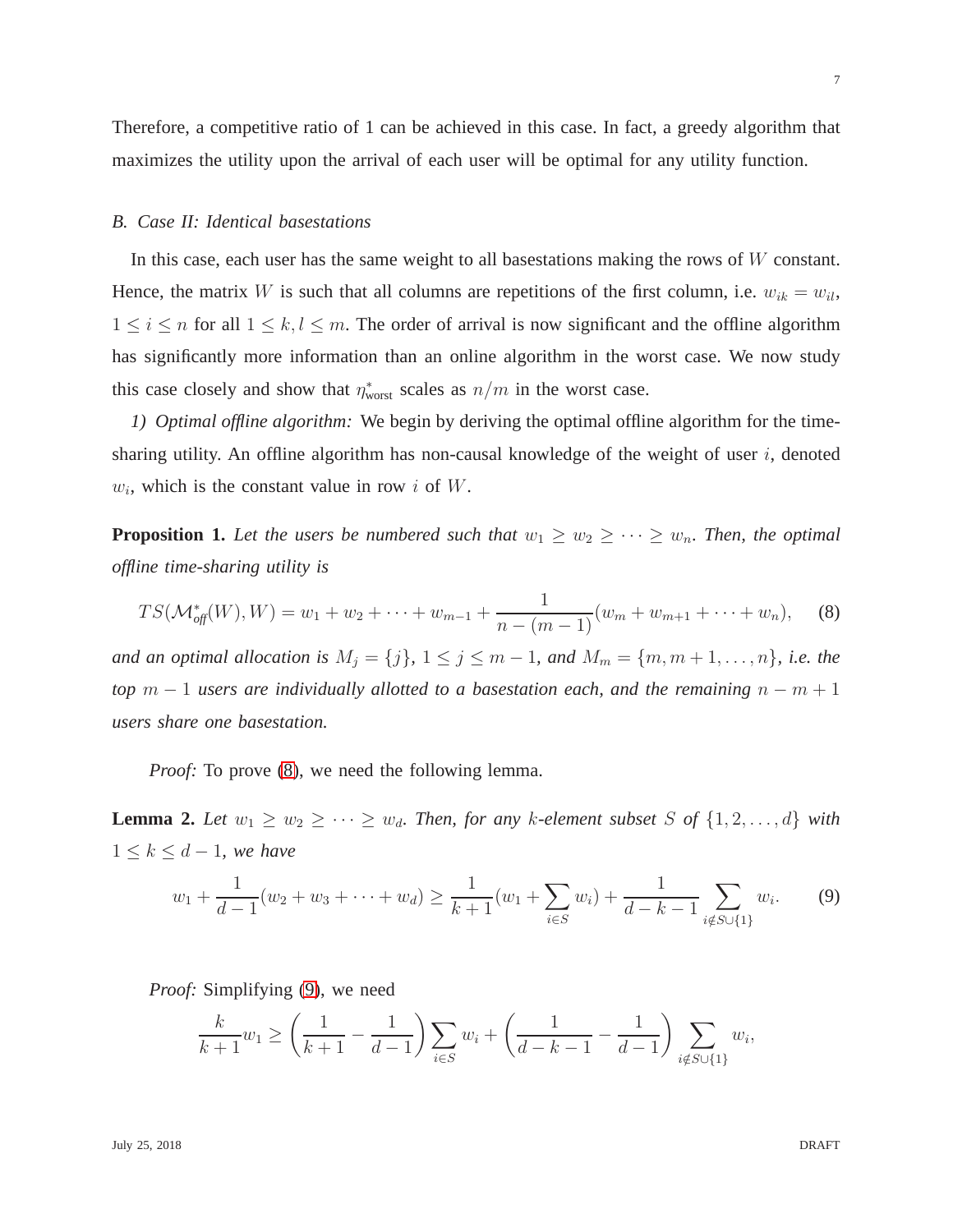Therefore, a competitive ratio of 1 can be achieved in this case. In fact, a greedy algorithm that maximizes the utility upon the arrival of each user will be optimal for any utility function.

## *B. Case II: Identical basestations*

In this case, each user has the same weight to all basestations making the rows of W constant. Hence, the matrix W is such that all columns are repetitions of the first column, i.e.  $w_{ik} = w_{il}$ ,  $1 \leq i \leq n$  for all  $1 \leq k, l \leq m$ . The order of arrival is now significant and the offline algorithm has significantly more information than an online algorithm in the worst case. We now study this case closely and show that  $\eta^*_{\text{worst}}$  scales as  $n/m$  in the worst case.

<span id="page-6-2"></span>*1) Optimal offline algorithm:* We begin by deriving the optimal offline algorithm for the timesharing utility. An offline algorithm has non-causal knowledge of the weight of user  $i$ , denoted  $w_i$ , which is the constant value in row i of W.

**Proposition 1.** Let the users be numbered such that  $w_1 \geq w_2 \geq \cdots \geq w_n$ . Then, the optimal *offline time-sharing utility is*

<span id="page-6-0"></span>
$$
TS(\mathcal{M}_{\text{off}}^*(W), W) = w_1 + w_2 + \dots + w_{m-1} + \frac{1}{n - (m-1)}(w_m + w_{m+1} + \dots + w_n), \quad (8)
$$

*and an optimal allocation is*  $M_j = \{j\}$ ,  $1 \le j \le m-1$ *, and*  $M_m = \{m, m+1, \ldots, n\}$ *, i.e. the top*  $m-1$  *users are individually allotted to a basestation each, and the remaining*  $n-m+1$ *users share one basestation.*

*Proof:* To prove [\(8\)](#page-6-0), we need the following lemma.

**Lemma 2.** Let  $w_1 \geq w_2 \geq \cdots \geq w_d$ . Then, for any k-element subset S of  $\{1, 2, \ldots, d\}$  with  $1 \leq k \leq d-1$ *, we have* 

<span id="page-6-1"></span>
$$
w_1 + \frac{1}{d-1}(w_2 + w_3 + \dots + w_d) \ge \frac{1}{k+1}(w_1 + \sum_{i \in S} w_i) + \frac{1}{d-k-1} \sum_{i \notin S \cup \{1\}} w_i.
$$
 (9)

*Proof:* Simplifying [\(9\)](#page-6-1), we need

$$
\frac{k}{k+1}w_1 \ge \left(\frac{1}{k+1} - \frac{1}{d-1}\right) \sum_{i \in S} w_i + \left(\frac{1}{d-k-1} - \frac{1}{d-1}\right) \sum_{i \notin S \cup \{1\}} w_i,
$$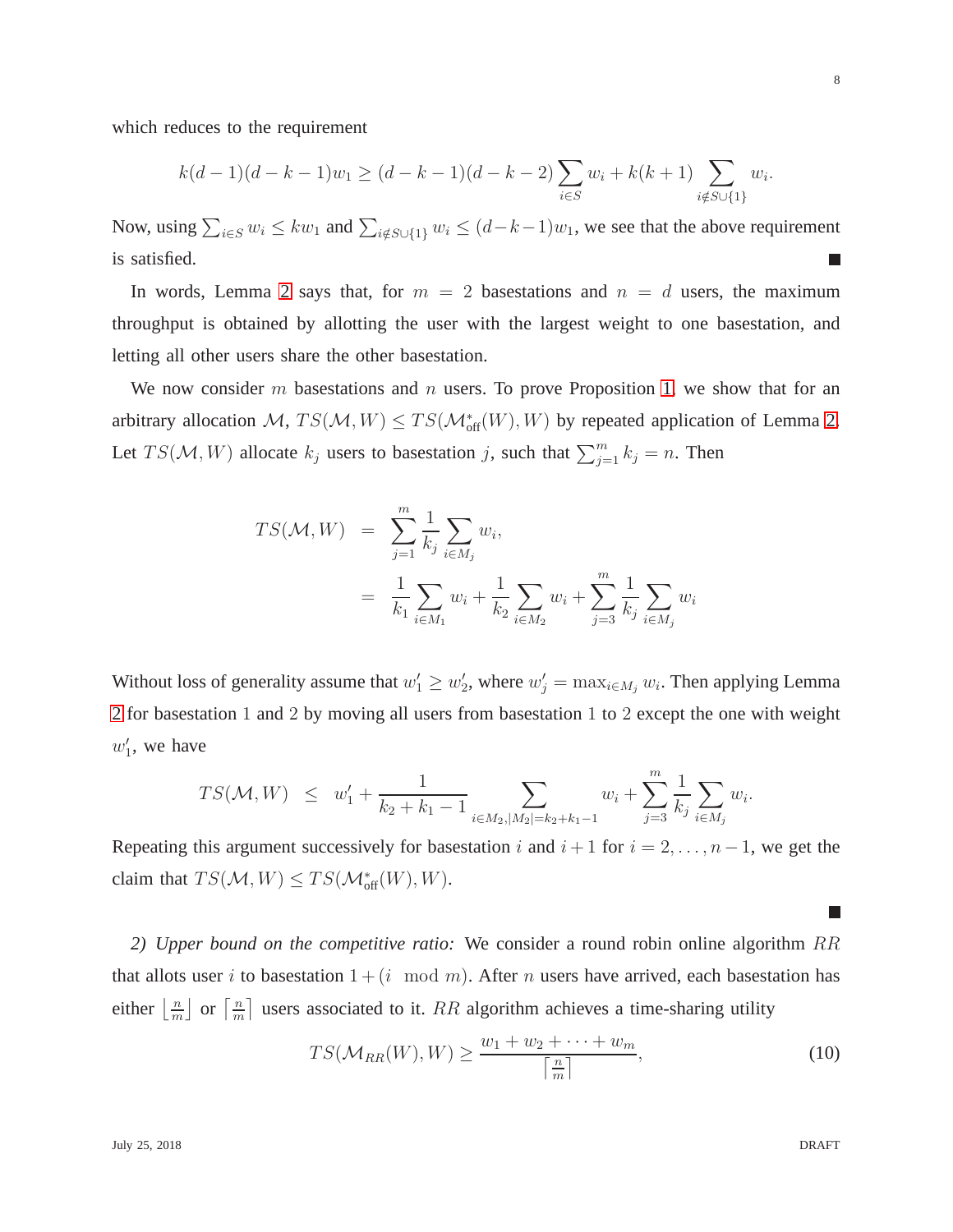which reduces to the requirement

$$
k(d-1)(d-k-1)w_1 \ge (d-k-1)(d-k-2)\sum_{i\in S} w_i + k(k+1)\sum_{i\notin S\cup\{1\}} w_i.
$$

Now, using  $\sum_{i \in S} w_i \leq kw_1$  and  $\sum_{i \notin S \cup \{1\}} w_i \leq (d-k-1)w_1$ , we see that the above requirement is satisfied.  $\mathcal{L}_{\mathcal{A}}$ 

In words, Lemma [2](#page-6-1) says that, for  $m = 2$  basestations and  $n = d$  users, the maximum throughput is obtained by allotting the user with the largest weight to one basestation, and letting all other users share the other basestation.

We now consider m basestations and n users. To prove Proposition [1,](#page-6-0) we show that for an arbitrary allocation  $M$ ,  $TS(M, W) \leq TS(M^*_{off}(W), W)$  by repeated application of Lemma [2.](#page-6-1) Let  $TS(\mathcal{M}, W)$  allocate  $k_j$  users to basestation j, such that  $\sum_{j=1}^{m} k_j = n$ . Then

$$
TS(\mathcal{M}, W) = \sum_{j=1}^{m} \frac{1}{k_j} \sum_{i \in M_j} w_i,
$$
  
=  $\frac{1}{k_1} \sum_{i \in M_1} w_i + \frac{1}{k_2} \sum_{i \in M_2} w_i + \sum_{j=3}^{m} \frac{1}{k_j} \sum_{i \in M_j} w_i$ 

Without loss of generality assume that  $w'_1 \geq w'_2$ , where  $w'_j = \max_{i \in M_j} w_i$ . Then applying Lemma [2](#page-6-1) for basestation 1 and 2 by moving all users from basestation 1 to 2 except the one with weight  $w'_1$ , we have

$$
TS(\mathcal{M}, W) \leq w'_1 + \frac{1}{k_2 + k_1 - 1} \sum_{i \in M_2, |M_2| = k_2 + k_1 - 1} w_i + \sum_{j=3}^m \frac{1}{k_j} \sum_{i \in M_j} w_i.
$$

Repeating this argument successively for basestation i and  $i + 1$  for  $i = 2, \ldots, n - 1$ , we get the claim that  $TS(\mathcal{M}, W) \leq TS(\mathcal{M}_{\text{off}}^*(W), W)$ .

*2) Upper bound on the competitive ratio:* We consider a round robin online algorithm RR that allots user i to basestation  $1 + (i \mod m)$ . After n users have arrived, each basestation has either  $\frac{n}{m}$  $\frac{n}{m}$  or  $\frac{n}{m}$  $\frac{n}{m}$  users associated to it. RR algorithm achieves a time-sharing utility

$$
TS(\mathcal{M}_{RR}(W), W) \ge \frac{w_1 + w_2 + \dots + w_m}{\left\lceil \frac{n}{m} \right\rceil},\tag{10}
$$

 $\Box$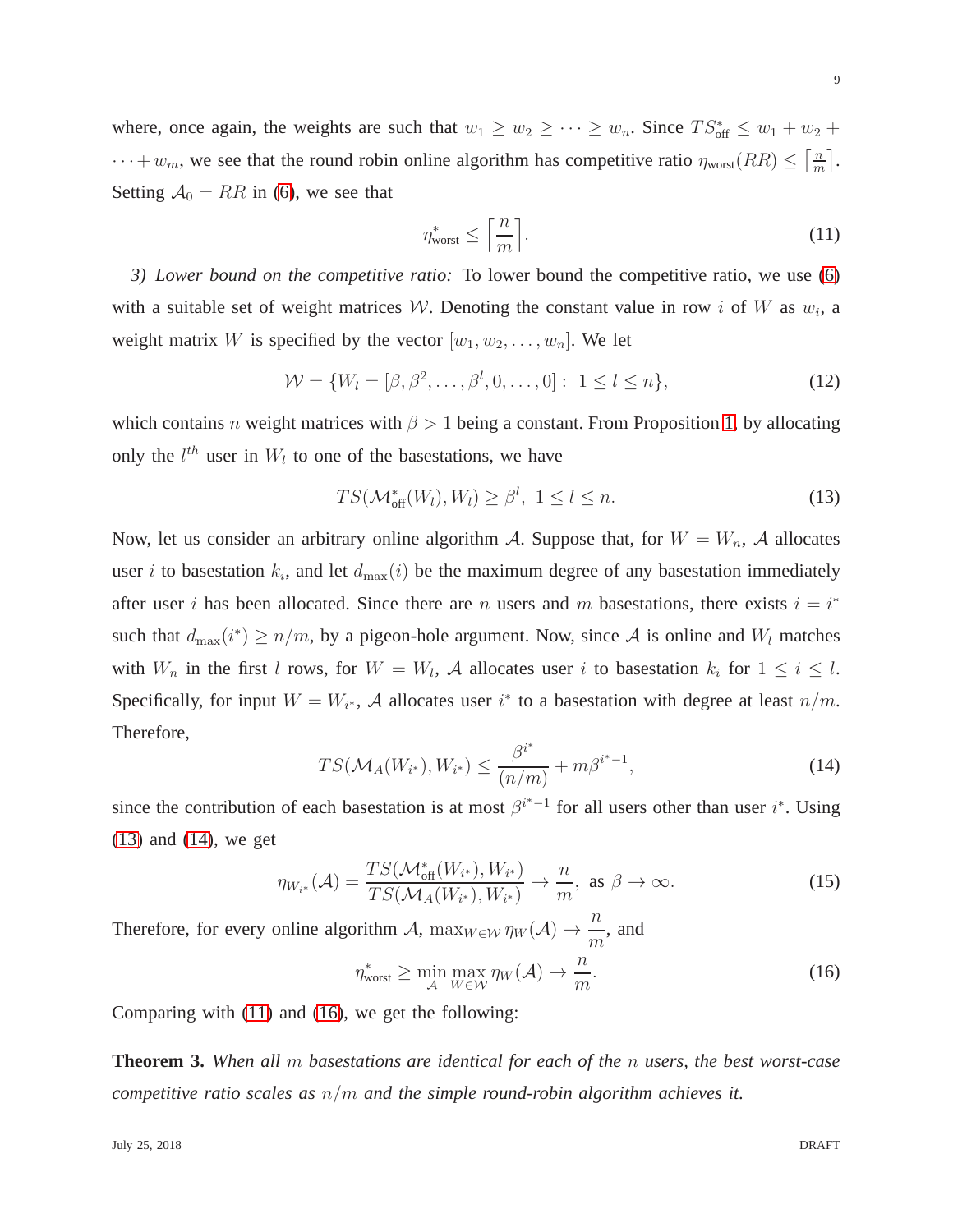where, once again, the weights are such that  $w_1 \ge w_2 \ge \cdots \ge w_n$ . Since  $TS_{\text{off}}^* \le w_1 + w_2 +$  $\cdots + w_m$ , we see that the round robin online algorithm has competitive ratio  $\eta_{\text{worst}}(RR) \leq \left[\frac{m}{m}\right]$  $\frac{n}{m}$ . Setting  $A_0 = RR$  in [\(6\)](#page-4-0), we see that

<span id="page-8-2"></span>
$$
\eta_{\text{worst}}^* \le \left\lceil \frac{n}{m} \right\rceil. \tag{11}
$$

<span id="page-8-4"></span>*3) Lower bound on the competitive ratio:* To lower bound the competitive ratio, we use [\(6\)](#page-4-0) with a suitable set of weight matrices W. Denoting the constant value in row i of W as  $w_i$ , a weight matrix W is specified by the vector  $[w_1, w_2, \dots, w_n]$ . We let

<span id="page-8-5"></span>
$$
\mathcal{W} = \{W_l = [\beta, \beta^2, \dots, \beta^l, 0, \dots, 0]: 1 \le l \le n\},\tag{12}
$$

which contains n weight matrices with  $\beta > 1$  being a constant. From Proposition [1,](#page-6-0) by allocating only the  $l^{th}$  user in  $W_l$  to one of the basestations, we have

<span id="page-8-0"></span>
$$
TS(\mathcal{M}_{\text{off}}^*(W_l), W_l) \ge \beta^l, \ 1 \le l \le n. \tag{13}
$$

Now, let us consider an arbitrary online algorithm A. Suppose that, for  $W = W_n$ , A allocates user *i* to basestation  $k_i$ , and let  $d_{\text{max}}(i)$  be the maximum degree of any basestation immediately after user i has been allocated. Since there are n users and m basestations, there exists  $i = i^*$ such that  $d_{\max}(i^*) \ge n/m$ , by a pigeon-hole argument. Now, since A is online and  $W_l$  matches with  $W_n$  in the first l rows, for  $W = W_l$ , A allocates user i to basestation  $k_i$  for  $1 \le i \le l$ . Specifically, for input  $W = W_{i^*}$ , A allocates user  $i^*$  to a basestation with degree at least  $n/m$ . Therefore,

<span id="page-8-1"></span>
$$
TS(\mathcal{M}_A(W_{i^*}), W_{i^*}) \le \frac{\beta^{i^*}}{(n/m)} + m\beta^{i^*-1},
$$
\n(14)

since the contribution of each basestation is at most  $\beta^{i^* - 1}$  for all users other than user  $i^*$ . Using [\(13\)](#page-8-0) and [\(14\)](#page-8-1), we get

$$
\eta_{W_{i^*}}(\mathcal{A}) = \frac{TS(\mathcal{M}_{\text{off}}^*(W_{i^*}), W_{i^*})}{TS(\mathcal{M}_A(W_{i^*}), W_{i^*})} \to \frac{n}{m}, \text{ as } \beta \to \infty.
$$
 (15)

Therefore, for every online algorithm A,  $\max_{W \in \mathcal{W}} \eta_W(\mathcal{A}) \to \frac{n}{m}$ m , and

<span id="page-8-3"></span>
$$
\eta_{\text{worst}}^* \ge \min_{\mathcal{A}} \max_{W \in \mathcal{W}} \eta_W(\mathcal{A}) \to \frac{n}{m}.\tag{16}
$$

Comparing with [\(11\)](#page-8-2) and [\(16\)](#page-8-3), we get the following:

**Theorem 3.** *When all* m *basestations are identical for each of the* n *users, the best worst-case competitive ratio scales as* n/m *and the simple round-robin algorithm achieves it.*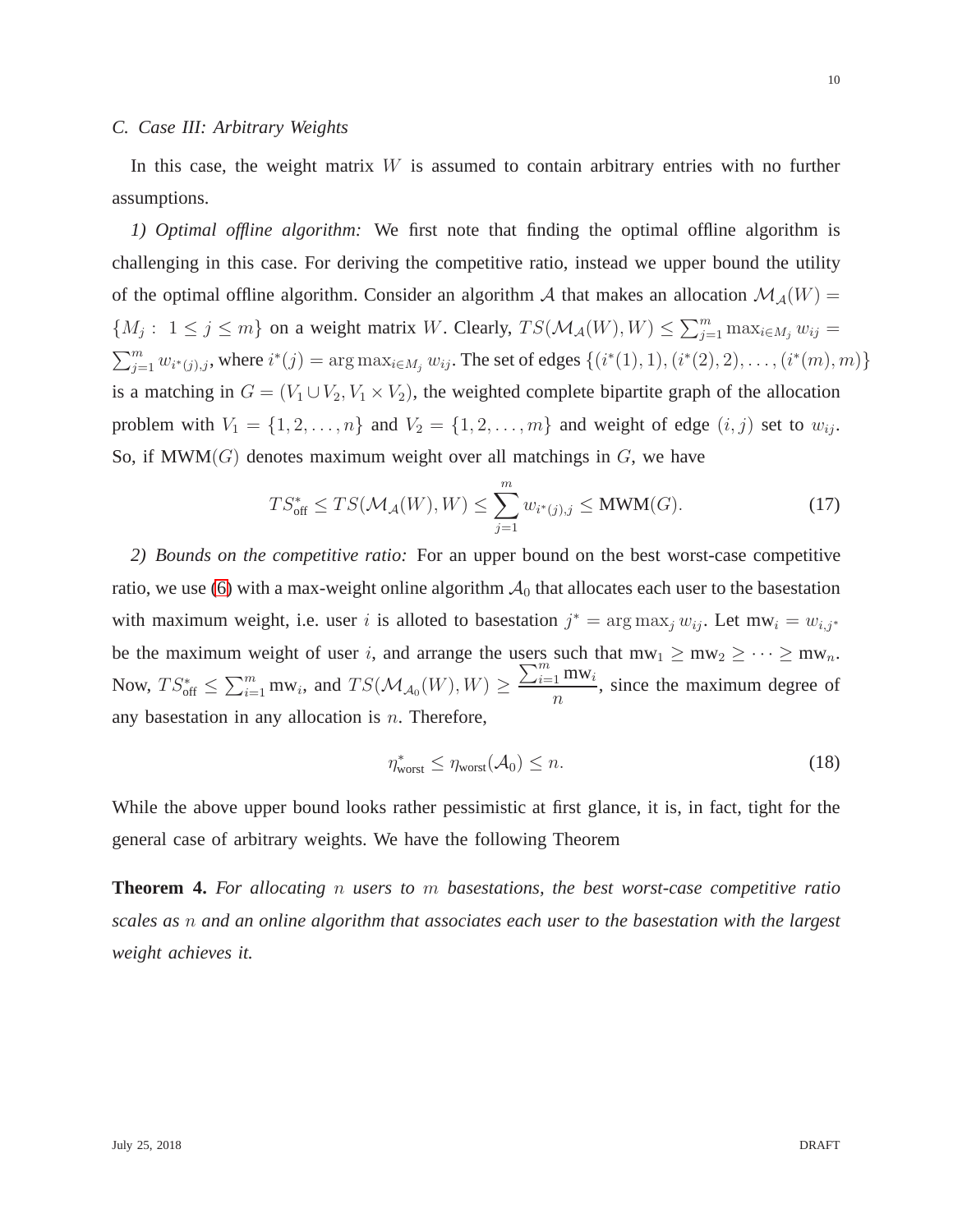<span id="page-9-1"></span>In this case, the weight matrix  $W$  is assumed to contain arbitrary entries with no further assumptions.

*1) Optimal offline algorithm:* We first note that finding the optimal offline algorithm is challenging in this case. For deriving the competitive ratio, instead we upper bound the utility of the optimal offline algorithm. Consider an algorithm A that makes an allocation  $\mathcal{M}_{\mathcal{A}}(W)$  =  $\{M_j: 1 \le j \le m\}$  on a weight matrix W. Clearly,  $TS(\mathcal{M}_{\mathcal{A}}(W), W) \le \sum_{j=1}^m \max_{i \in M_j} w_{ij} =$  $\sum_{j=1}^{m} w_{i^*(j),j}$ , where  $i^*(j) = \arg \max_{i \in M_j} w_{ij}$ . The set of edges  $\{(i^*(1), 1), (i^*(2), 2), \ldots, (i^*(m), m)\}$ is a matching in  $G = (V_1 \cup V_2, V_1 \times V_2)$ , the weighted complete bipartite graph of the allocation problem with  $V_1 = \{1, 2, \ldots, n\}$  and  $V_2 = \{1, 2, \ldots, m\}$  and weight of edge  $(i, j)$  set to  $w_{ij}$ . So, if  $\text{MWM}(G)$  denotes maximum weight over all matchings in  $G$ , we have

<span id="page-9-0"></span>
$$
TS_{\text{off}}^* \le TS(\mathcal{M}_{\mathcal{A}}(W), W) \le \sum_{j=1}^m w_{i^*(j), j} \le \text{MWM}(G). \tag{17}
$$

*2) Bounds on the competitive ratio:* For an upper bound on the best worst-case competitive ratio, we use [\(6\)](#page-4-0) with a max-weight online algorithm  $A_0$  that allocates each user to the basestation with maximum weight, i.e. user i is alloted to basestation  $j^* = \arg \max_j w_{ij}$ . Let m $w_i = w_{i,j^*}$ be the maximum weight of user i, and arrange the users such that  $mw_1 \ge mw_2 \ge \cdots \ge mw_n$ . Now,  $TS_{\text{off}}^* \leq \sum_{i=1}^m \text{mw}_i$ , and  $TS(\mathcal{M}_{\mathcal{A}_0}(W), W) \geq$  $\sum_{i=1}^m$  mw<sub>i</sub>  $\overline{n}$ , since the maximum degree of any basestation in any allocation is  $n$ . Therefore,

$$
\eta_{\text{worst}}^* \leq \eta_{\text{worst}}(\mathcal{A}_0) \leq n. \tag{18}
$$

While the above upper bound looks rather pessimistic at first glance, it is, in fact, tight for the general case of arbitrary weights. We have the following Theorem

**Theorem 4.** *For allocating* n *users to* m *basestations, the best worst-case competitive ratio scales as* n *and an online algorithm that associates each user to the basestation with the largest weight achieves it.*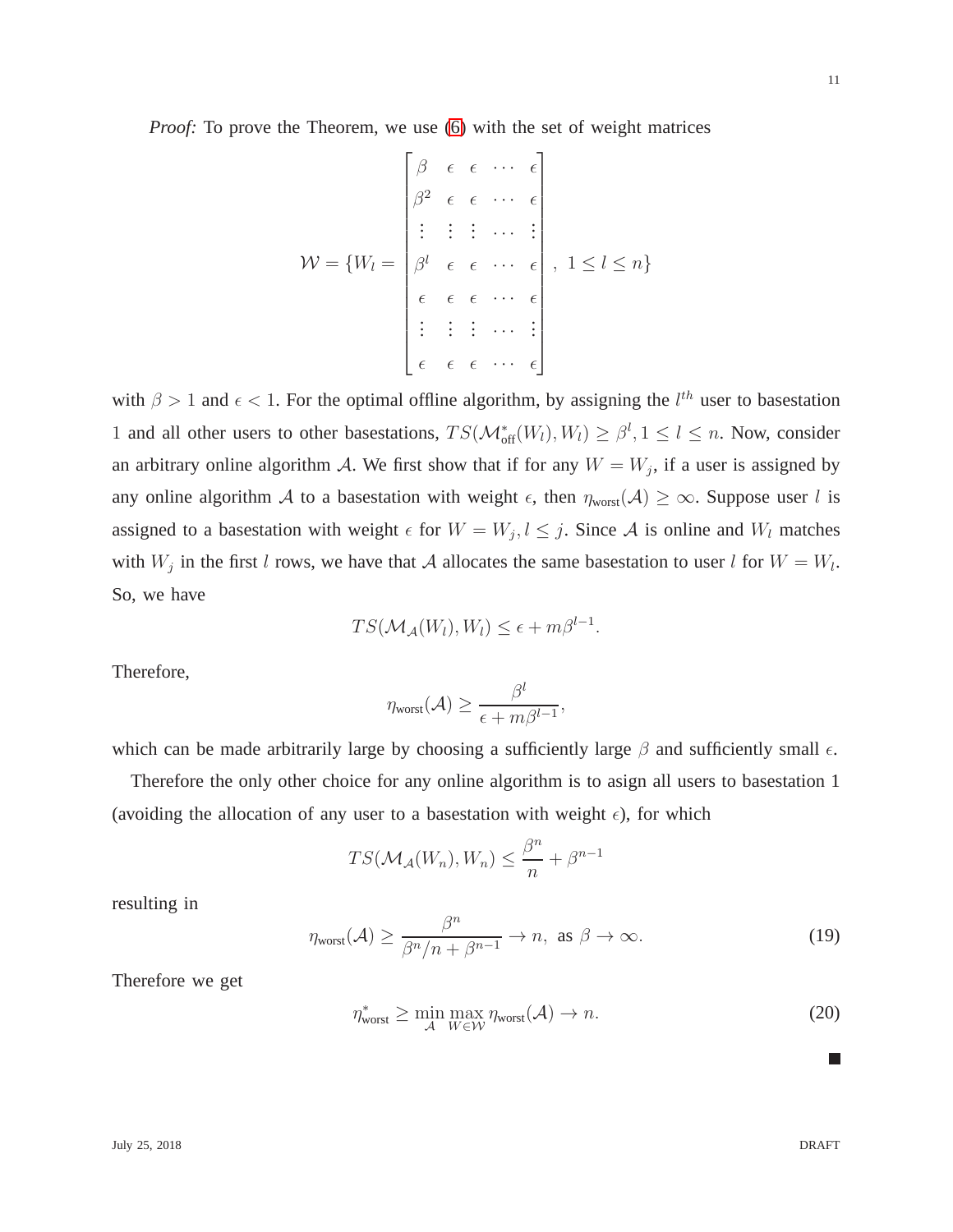*Proof:* To prove the Theorem, we use [\(6\)](#page-4-0) with the set of weight matrices

$$
\mathcal{W} = \{W_l = \begin{bmatrix} \beta & \epsilon & \epsilon & \cdots & \epsilon \\ \beta^2 & \epsilon & \epsilon & \cdots & \epsilon \\ \vdots & \vdots & \vdots & \cdots & \vdots \\ \beta^l & \epsilon & \epsilon & \cdots & \epsilon \\ \epsilon & \epsilon & \epsilon & \cdots & \epsilon \\ \vdots & \vdots & \vdots & \cdots & \vdots \\ \epsilon & \epsilon & \epsilon & \cdots & \epsilon \end{bmatrix}, 1 \leq l \leq n\}
$$

with  $\beta > 1$  and  $\epsilon < 1$ . For the optimal offline algorithm, by assigning the  $l^{th}$  user to basestation 1 and all other users to other basestations,  $TS(\mathcal{M}_{off}^*(W_l), W_l) \geq \beta^l, 1 \leq l \leq n$ . Now, consider an arbitrary online algorithm A. We first show that if for any  $W = W_j$ , if a user is assigned by any online algorithm A to a basestation with weight  $\epsilon$ , then  $\eta_{worst}(\mathcal{A}) \geq \infty$ . Suppose user l is assigned to a basestation with weight  $\epsilon$  for  $W = W_j, l \leq j$ . Since A is online and  $W_l$  matches with  $W_j$  in the first l rows, we have that A allocates the same basestation to user l for  $W = W_l$ . So, we have

$$
TS(\mathcal{M}_{\mathcal{A}}(W_l), W_l) \leq \epsilon + m\beta^{l-1}.
$$

Therefore,

$$
\eta_{\text{worst}}(\mathcal{A}) \ge \frac{\beta^l}{\epsilon + m\beta^{l-1}},
$$

which can be made arbitrarily large by choosing a sufficiently large  $\beta$  and sufficiently small  $\epsilon$ .

Therefore the only other choice for any online algorithm is to asign all users to basestation 1 (avoiding the allocation of any user to a basestation with weight  $\epsilon$ ), for which

$$
TS(\mathcal{M}_{\mathcal{A}}(W_n), W_n) \leq \frac{\beta^n}{n} + \beta^{n-1}
$$

resulting in

$$
\eta_{\text{worst}}(\mathcal{A}) \ge \frac{\beta^n}{\beta^n/n + \beta^{n-1}} \to n, \text{ as } \beta \to \infty. \tag{19}
$$

Therefore we get

$$
\eta_{\text{worst}}^* \ge \min_{\mathcal{A}} \max_{W \in \mathcal{W}} \eta_{\text{worst}}(\mathcal{A}) \to n. \tag{20}
$$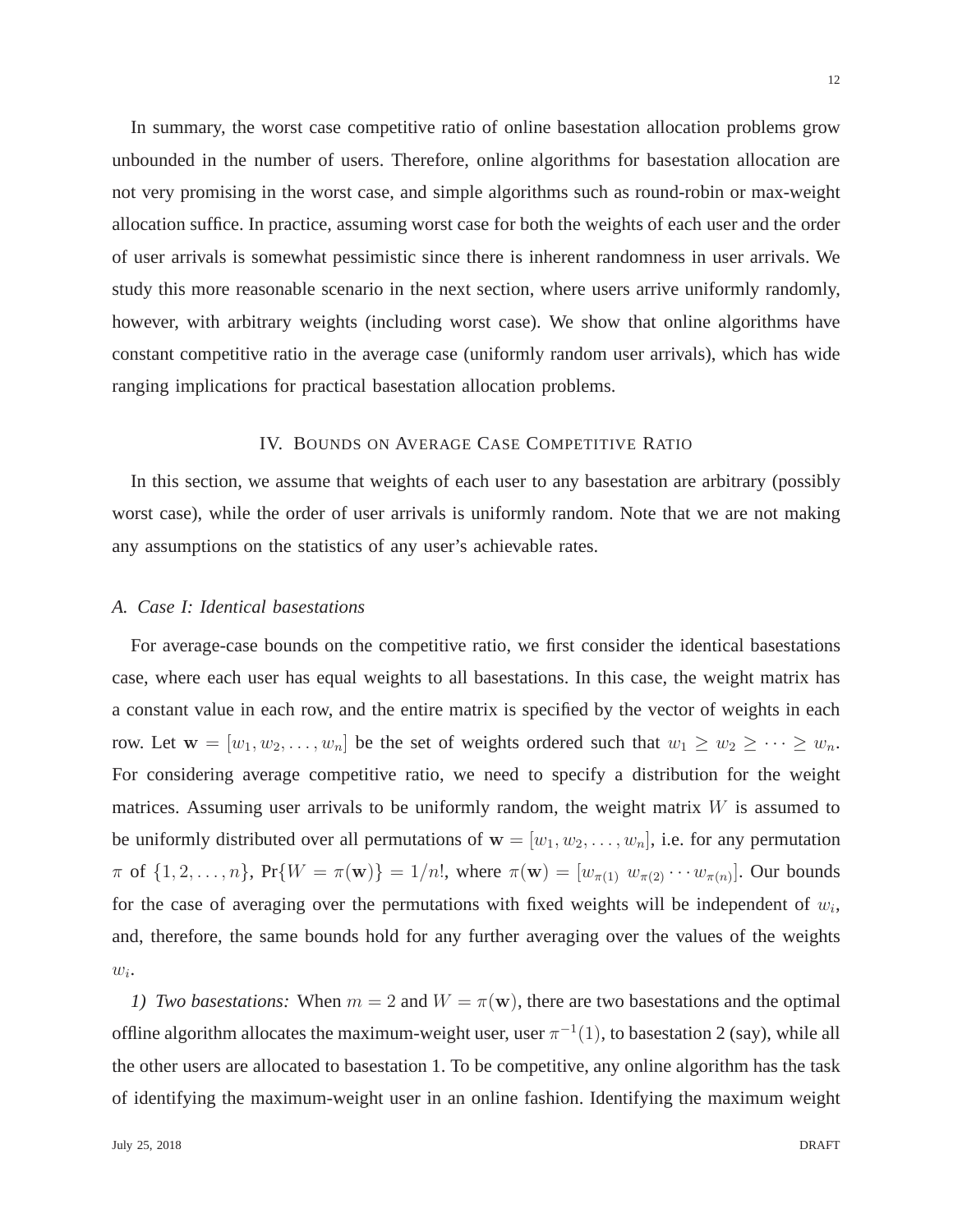In summary, the worst case competitive ratio of online basestation allocation problems grow unbounded in the number of users. Therefore, online algorithms for basestation allocation are not very promising in the worst case, and simple algorithms such as round-robin or max-weight allocation suffice. In practice, assuming worst case for both the weights of each user and the order of user arrivals is somewhat pessimistic since there is inherent randomness in user arrivals. We study this more reasonable scenario in the next section, where users arrive uniformly randomly, however, with arbitrary weights (including worst case). We show that online algorithms have constant competitive ratio in the average case (uniformly random user arrivals), which has wide ranging implications for practical basestation allocation problems.

## IV. BOUNDS ON AVERAGE CASE COMPETITIVE RATIO

In this section, we assume that weights of each user to any basestation are arbitrary (possibly worst case), while the order of user arrivals is uniformly random. Note that we are not making any assumptions on the statistics of any user's achievable rates.

#### *A. Case I: Identical basestations*

For average-case bounds on the competitive ratio, we first consider the identical basestations case, where each user has equal weights to all basestations. In this case, the weight matrix has a constant value in each row, and the entire matrix is specified by the vector of weights in each row. Let  $\mathbf{w} = [w_1, w_2, \dots, w_n]$  be the set of weights ordered such that  $w_1 \geq w_2 \geq \dots \geq w_n$ . For considering average competitive ratio, we need to specify a distribution for the weight matrices. Assuming user arrivals to be uniformly random, the weight matrix  $W$  is assumed to be uniformly distributed over all permutations of  $w = [w_1, w_2, \dots, w_n]$ , i.e. for any permutation  $\pi$  of  $\{1, 2, ..., n\}$ , Pr $\{W = \pi(\mathbf{w})\} = 1/n!$ , where  $\pi(\mathbf{w}) = [w_{\pi(1)} \ w_{\pi(2)} \cdots w_{\pi(n)}]$ . Our bounds for the case of averaging over the permutations with fixed weights will be independent of  $w_i$ , and, therefore, the same bounds hold for any further averaging over the values of the weights  $w_i$ .

*1) Two basestations:* When  $m = 2$  and  $W = \pi(\mathbf{w})$ , there are two basestations and the optimal offline algorithm allocates the maximum-weight user, user  $\pi^{-1}(1)$ , to basestation 2 (say), while all the other users are allocated to basestation 1. To be competitive, any online algorithm has the task of identifying the maximum-weight user in an online fashion. Identifying the maximum weight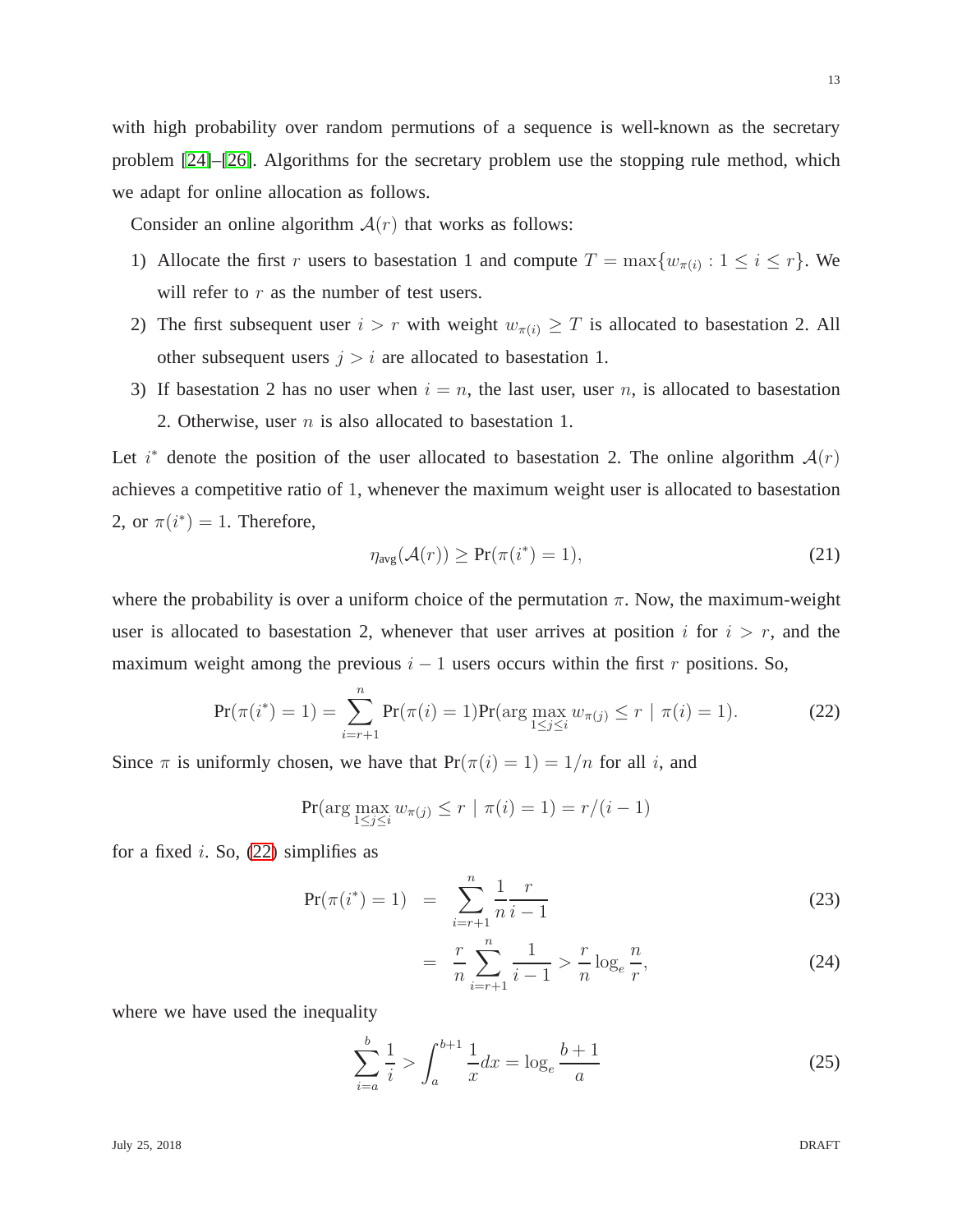13

with high probability over random permutions of a sequence is well-known as the secretary problem [\[24\]](#page-30-1)–[\[26\]](#page-30-2). Algorithms for the secretary problem use the stopping rule method, which we adapt for online allocation as follows.

Consider an online algorithm  $A(r)$  that works as follows:

- 1) Allocate the first r users to basestation 1 and compute  $T = \max\{w_{\pi(i)} : 1 \le i \le r\}$ . We will refer to  $r$  as the number of test users.
- 2) The first subsequent user  $i > r$  with weight  $w_{\pi(i)} \geq T$  is allocated to basestation 2. All other subsequent users  $j > i$  are allocated to basestation 1.
- 3) If basestation 2 has no user when  $i = n$ , the last user, user n, is allocated to basestation 2. Otherwise, user *n* is also allocated to basestation 1.

Let  $i^*$  denote the position of the user allocated to basestation 2. The online algorithm  $\mathcal{A}(r)$ achieves a competitive ratio of 1, whenever the maximum weight user is allocated to basestation 2, or  $\pi(i^*) = 1$ . Therefore,

<span id="page-12-2"></span>
$$
\eta_{\text{avg}}(\mathcal{A}(r)) \ge \Pr(\pi(i^*) = 1),\tag{21}
$$

where the probability is over a uniform choice of the permutation  $\pi$ . Now, the maximum-weight user is allocated to basestation 2, whenever that user arrives at position i for  $i > r$ , and the maximum weight among the previous  $i - 1$  users occurs within the first r positions. So,

<span id="page-12-0"></span>
$$
\Pr(\pi(i^*) = 1) = \sum_{i=r+1}^{n} \Pr(\pi(i) = 1) \Pr(\arg\max_{1 \le j \le i} w_{\pi(j)} \le r \mid \pi(i) = 1).
$$
 (22)

Since  $\pi$  is uniformly chosen, we have that  $Pr(\pi(i) = 1) = 1/n$  for all i, and

$$
\Pr(\arg\max_{1 \le j \le i} w_{\pi(j)} \le r \mid \pi(i) = 1) = r/(i - 1)
$$

for a fixed i. So,  $(22)$  simplifies as

<span id="page-12-1"></span>
$$
Pr(\pi(i^*) = 1) = \sum_{i=r+1}^{n} \frac{1}{n} \frac{r}{i-1}
$$
 (23)

$$
= \frac{r}{n} \sum_{i=r+1}^{n} \frac{1}{i-1} > \frac{r}{n} \log_e \frac{n}{r},\tag{24}
$$

where we have used the inequality

$$
\sum_{i=a}^{b} \frac{1}{i} > \int_{a}^{b+1} \frac{1}{x} dx = \log_{e} \frac{b+1}{a}
$$
 (25)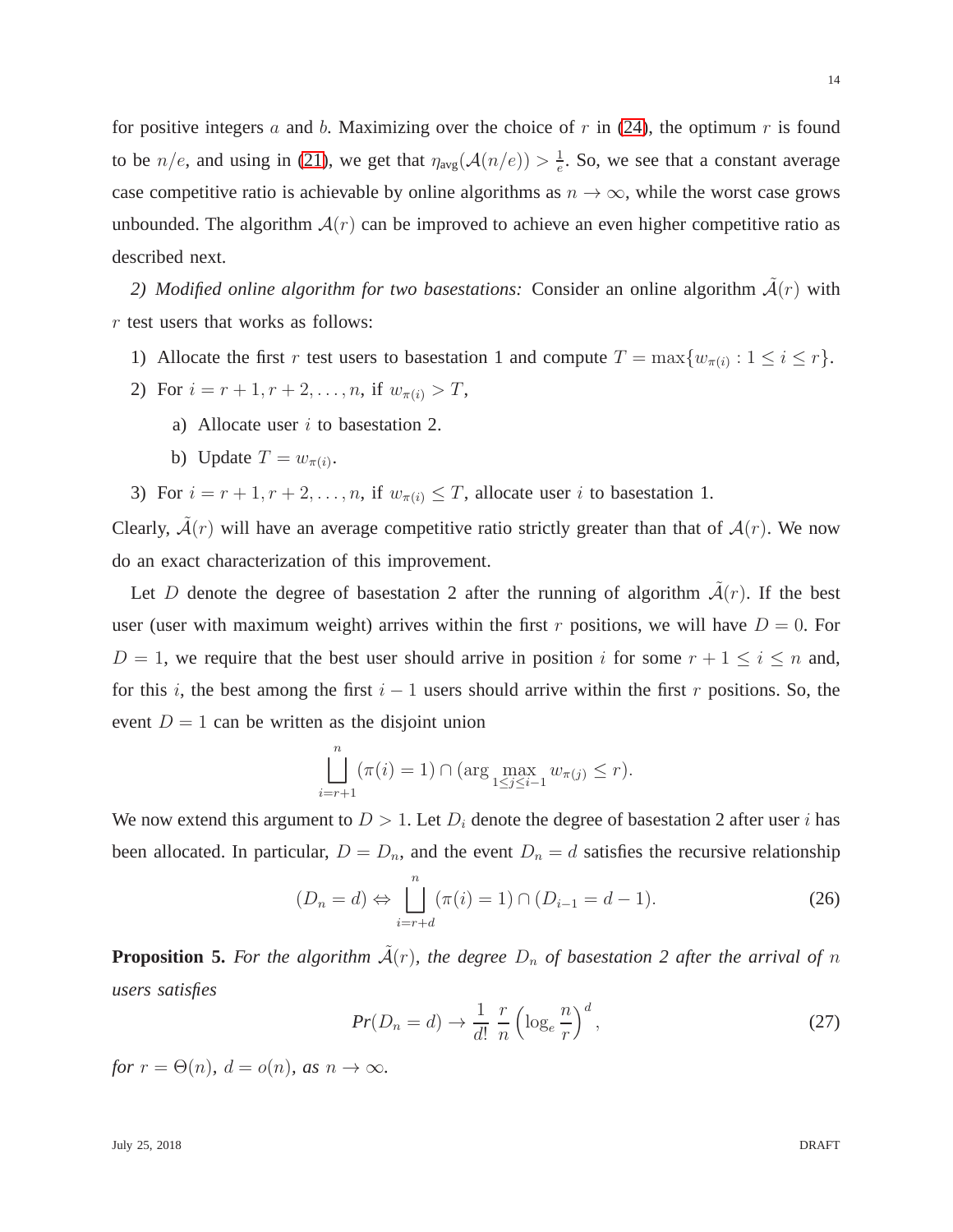for positive integers a and b. Maximizing over the choice of  $r$  in [\(24\)](#page-12-1), the optimum  $r$  is found to be  $n/e$ , and using in [\(21\)](#page-12-2), we get that  $\eta_{avg}(\mathcal{A}(n/e)) > \frac{1}{e}$  $\frac{1}{e}$ . So, we see that a constant average case competitive ratio is achievable by online algorithms as  $n \to \infty$ , while the worst case grows unbounded. The algorithm  $A(r)$  can be improved to achieve an even higher competitive ratio as described next.

2) Modified online algorithm for two basestations: Consider an online algorithm  $\tilde{A}(r)$  with r test users that works as follows:

- 1) Allocate the first r test users to basestation 1 and compute  $T = \max\{w_{\pi(i)} : 1 \le i \le r\}$ .
- 2) For  $i = r + 1, r + 2, \ldots, n$ , if  $w_{\pi(i)} > T$ ,
	- a) Allocate user  $i$  to basestation 2.
	- b) Update  $T = w_{\pi(i)}$ .

3) For  $i = r + 1, r + 2, \ldots, n$ , if  $w_{\pi(i)} \leq T$ , allocate user i to basestation 1.

Clearly,  $\tilde{A}(r)$  will have an average competitive ratio strictly greater than that of  $A(r)$ . We now do an exact characterization of this improvement.

Let D denote the degree of basestation 2 after the running of algorithm  $\mathcal{A}(r)$ . If the best user (user with maximum weight) arrives within the first r positions, we will have  $D = 0$ . For  $D = 1$ , we require that the best user should arrive in position i for some  $r + 1 \le i \le n$  and, for this i, the best among the first  $i - 1$  users should arrive within the first r positions. So, the event  $D = 1$  can be written as the disjoint union

$$
\prod_{i=r+1}^{n} (\pi(i) = 1) \cap (\arg \max_{1 \le j \le i-1} w_{\pi(j)} \le r).
$$

We now extend this argument to  $D > 1$ . Let  $D_i$  denote the degree of basestation 2 after user i has been allocated. In particular,  $D = D_n$ , and the event  $D_n = d$  satisfies the recursive relationship

<span id="page-13-1"></span>
$$
(D_n = d) \Leftrightarrow \prod_{i=r+d}^{n} (\pi(i) = 1) \cap (D_{i-1} = d - 1).
$$
 (26)

**Proposition 5.** For the algorithm  $\tilde{A}(r)$ , the degree  $D_n$  of basestation 2 after the arrival of n *users satisfies*

<span id="page-13-0"></span>
$$
Pr(D_n = d) \to \frac{1}{d!} \frac{r}{n} \left( \log_e \frac{n}{r} \right)^d,\tag{27}
$$

*for*  $r = \Theta(n)$ *,*  $d = o(n)$ *,* as  $n \to \infty$ *.*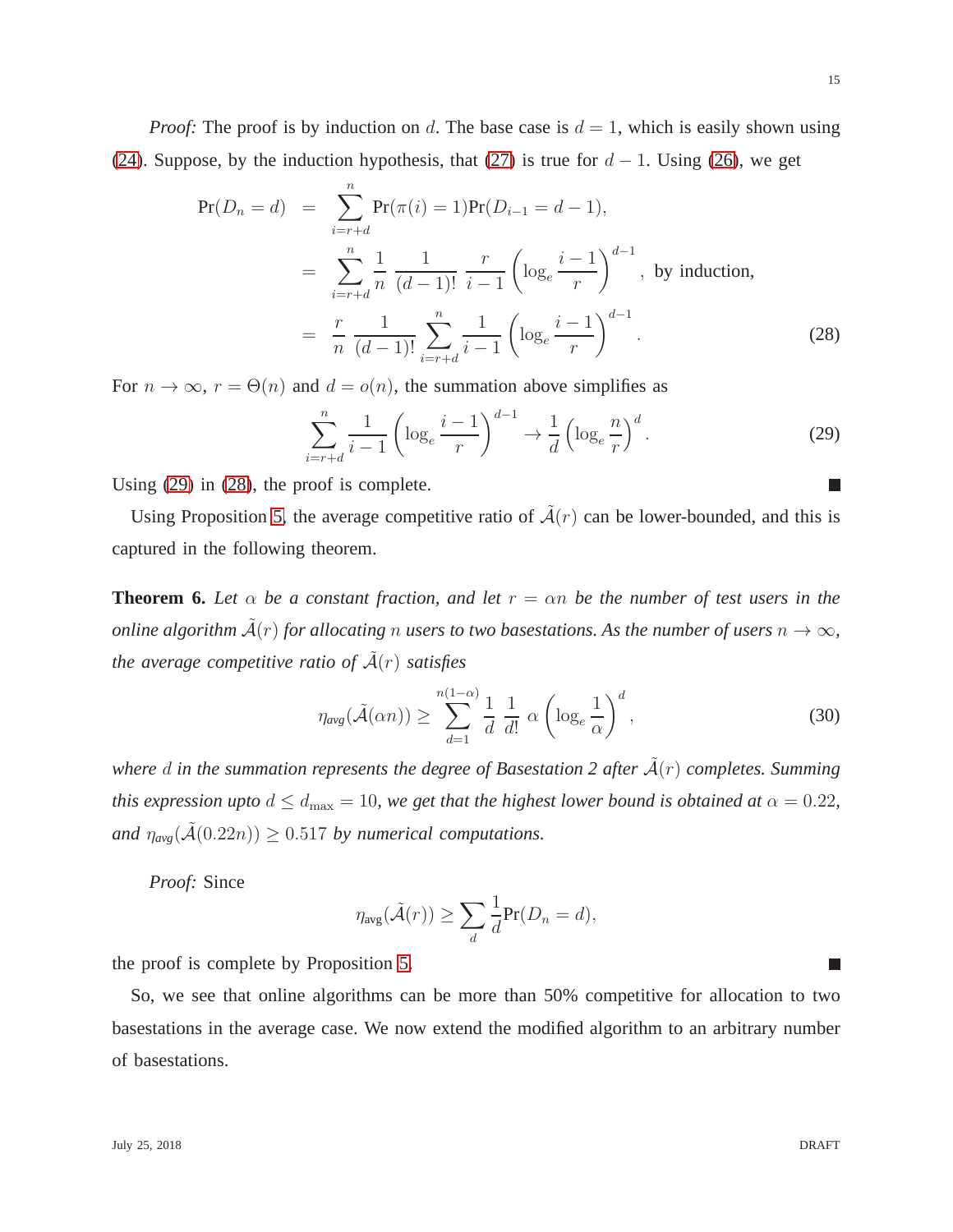15

*Proof:* The proof is by induction on d. The base case is  $d = 1$ , which is easily shown using [\(24\)](#page-12-1). Suppose, by the induction hypothesis, that [\(27\)](#page-13-0) is true for  $d - 1$ . Using [\(26\)](#page-13-1), we get

<span id="page-14-1"></span>
$$
\Pr(D_n = d) = \sum_{i=r+d}^{n} \Pr(\pi(i) = 1) \Pr(D_{i-1} = d - 1),
$$
  
= 
$$
\sum_{i=r+d}^{n} \frac{1}{n} \frac{1}{(d-1)!} \frac{r}{i-1} \left( \log_e \frac{i-1}{r} \right)^{d-1}, \text{ by induction,}
$$
  
= 
$$
\frac{r}{n} \frac{1}{(d-1)!} \sum_{i=r+d}^{n} \frac{1}{i-1} \left( \log_e \frac{i-1}{r} \right)^{d-1}.
$$
 (28)

For  $n \to \infty$ ,  $r = \Theta(n)$  and  $d = o(n)$ , the summation above simplifies as

<span id="page-14-0"></span>
$$
\sum_{i=r+d}^{n} \frac{1}{i-1} \left( \log_e \frac{i-1}{r} \right)^{d-1} \to \frac{1}{d} \left( \log_e \frac{n}{r} \right)^d.
$$
 (29)

Using [\(29\)](#page-14-0) in [\(28\)](#page-14-1), the proof is complete.

Using Proposition [5,](#page-13-0) the average competitive ratio of  $\tilde{A}(r)$  can be lower-bounded, and this is captured in the following theorem.

**Theorem 6.** Let  $\alpha$  be a constant fraction, and let  $r = \alpha n$  be the number of test users in the *online algorithm*  $\tilde{A}(r)$  *for allocating* n *users to two basestations. As the number of users*  $n \to \infty$ *, the average competitive ratio of*  $\tilde{A}(r)$  *satisfies* 

<span id="page-14-2"></span>
$$
\eta_{\text{avg}}(\tilde{\mathcal{A}}(\alpha n)) \ge \sum_{d=1}^{n(1-\alpha)} \frac{1}{d} \frac{1}{d!} \alpha \left( \log_e \frac{1}{\alpha} \right)^d,\tag{30}
$$

*where* d in the summation represents the degree of Basestation 2 after  $\tilde{A}(r)$  completes. Summing *this expression upto*  $d \leq d_{\text{max}} = 10$ *, we get that the highest lower bound is obtained at*  $\alpha = 0.22$ *, and*  $\eta_{avg}(\tilde{A}(0.22n)) \ge 0.517$  *by numerical computations.* 

*Proof:* Since

$$
\eta_{\text{avg}}(\tilde{\mathcal{A}}(r)) \ge \sum_{d} \frac{1}{d} \Pr(D_n = d),
$$

the proof is complete by Proposition [5.](#page-13-0)

So, we see that online algorithms can be more than 50% competitive for allocation to two basestations in the average case. We now extend the modified algorithm to an arbitrary number of basestations.

 $\Box$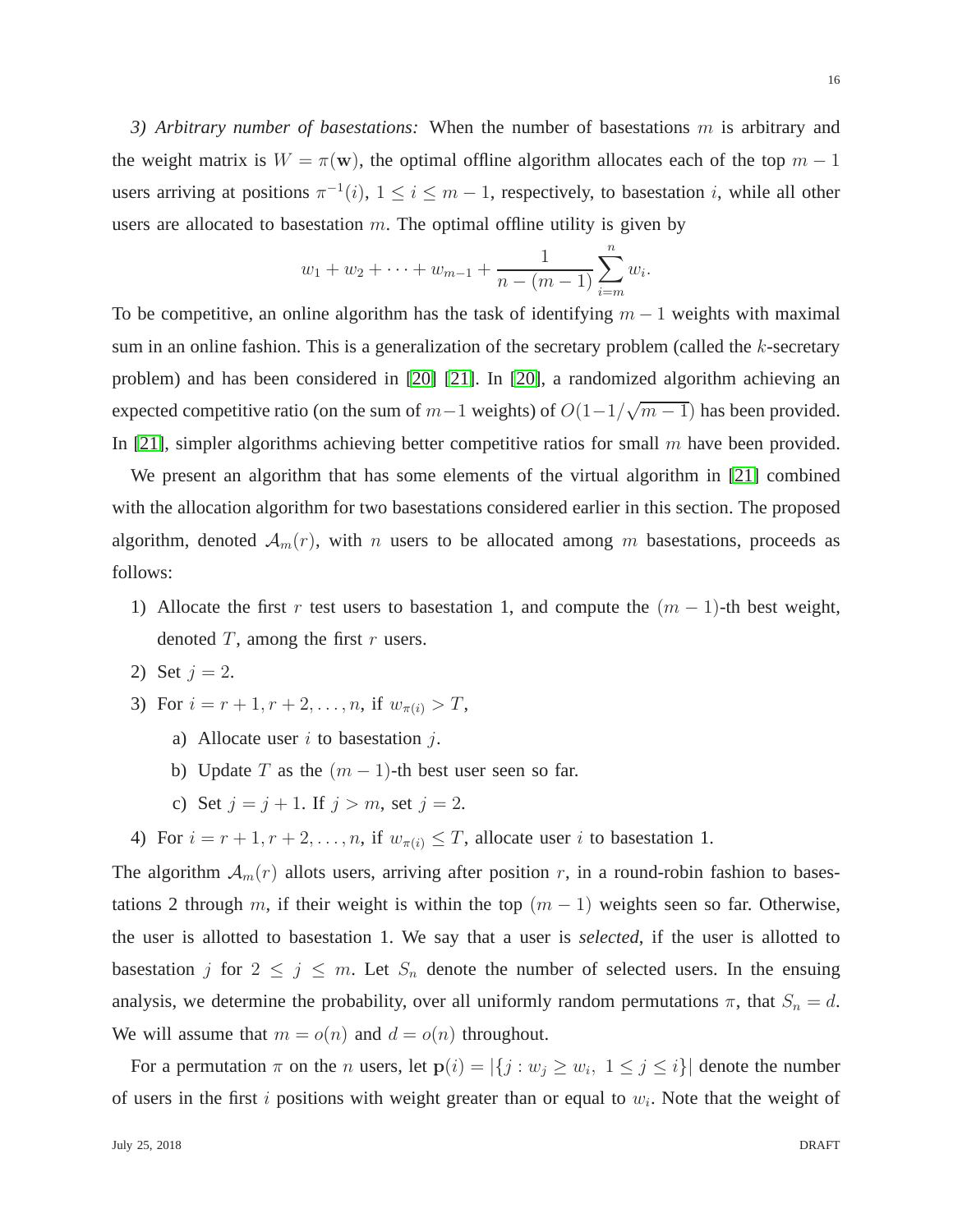<span id="page-15-0"></span>*3) Arbitrary number of basestations:* When the number of basestations m is arbitrary and the weight matrix is  $W = \pi(\mathbf{w})$ , the optimal offline algorithm allocates each of the top  $m - 1$ users arriving at positions  $\pi^{-1}(i)$ ,  $1 \le i \le m-1$ , respectively, to basestation i, while all other users are allocated to basestation  $m$ . The optimal offline utility is given by

$$
w_1 + w_2 + \cdots + w_{m-1} + \frac{1}{n - (m-1)} \sum_{i=m}^{n} w_i
$$

To be competitive, an online algorithm has the task of identifying  $m - 1$  weights with maximal sum in an online fashion. This is a generalization of the secretary problem (called the k-secretary problem) and has been considered in [\[20\]](#page-29-14) [\[21\]](#page-29-15). In [\[20\]](#page-29-14), a randomized algorithm achieving an expected competitive ratio (on the sum of  $m-1$  weights) of  $O(1-1/\sqrt{m-1})$  has been provided. In [\[21\]](#page-29-15), simpler algorithms achieving better competitive ratios for small  $m$  have been provided.

We present an algorithm that has some elements of the virtual algorithm in [\[21\]](#page-29-15) combined with the allocation algorithm for two basestations considered earlier in this section. The proposed algorithm, denoted  $A_m(r)$ , with n users to be allocated among m basestations, proceeds as follows:

- 1) Allocate the first r test users to basestation 1, and compute the  $(m 1)$ -th best weight, denoted  $T$ , among the first  $r$  users.
- 2) Set  $j = 2$ .
- 3) For  $i = r + 1, r + 2, \ldots, n$ , if  $w_{\pi(i)} > T$ ,
	- a) Allocate user  $i$  to basestation  $i$ .
	- b) Update T as the  $(m 1)$ -th best user seen so far.
	- c) Set  $j = j + 1$ . If  $j > m$ , set  $j = 2$ .
- 4) For  $i = r + 1, r + 2, \ldots, n$ , if  $w_{\pi(i)} \leq T$ , allocate user i to basestation 1.

The algorithm  $A_m(r)$  allots users, arriving after position r, in a round-robin fashion to basestations 2 through m, if their weight is within the top  $(m - 1)$  weights seen so far. Otherwise, the user is allotted to basestation 1. We say that a user is *selected*, if the user is allotted to basestation j for  $2 \le j \le m$ . Let  $S_n$  denote the number of selected users. In the ensuing analysis, we determine the probability, over all uniformly random permutations  $\pi$ , that  $S_n = d$ . We will assume that  $m = o(n)$  and  $d = o(n)$  throughout.

For a permutation  $\pi$  on the *n* users, let  $p(i) = |\{j : w_j \ge w_i, 1 \le j \le i\}|$  denote the number of users in the first i positions with weight greater than or equal to  $w_i$ . Note that the weight of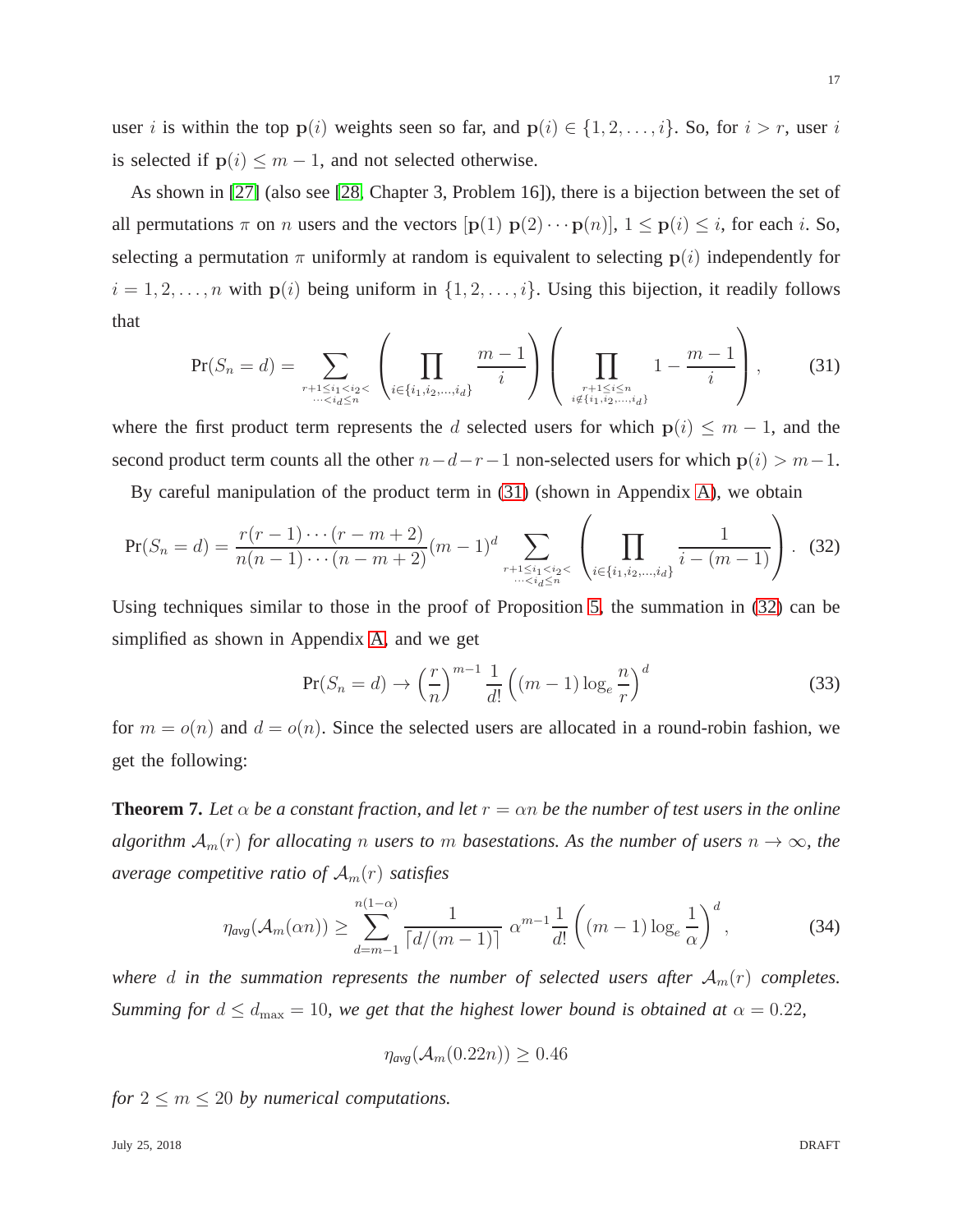user i is within the top  $p(i)$  weights seen so far, and  $p(i) \in \{1, 2, ..., i\}$ . So, for  $i > r$ , user i is selected if  $p(i) \leq m - 1$ , and not selected otherwise.

As shown in [\[27\]](#page-30-3) (also see [\[28,](#page-30-4) Chapter 3, Problem 16]), there is a bijection between the set of all permutations  $\pi$  on n users and the vectors  $[p(1) p(2) \cdots p(n)]$ ,  $1 \leq p(i) \leq i$ , for each i. So, selecting a permutation  $\pi$  uniformly at random is equivalent to selecting  $p(i)$  independently for  $i = 1, 2, \ldots, n$  with  $p(i)$  being uniform in  $\{1, 2, \ldots, i\}$ . Using this bijection, it readily follows that

<span id="page-16-0"></span>
$$
\Pr(S_n = d) = \sum_{\substack{r+1 \le i_1 < i_2 < \\ \dots < i_d \le n}} \left( \prod_{i \in \{i_1, i_2, \dots, i_d\}} \frac{m-1}{i} \right) \left( \prod_{\substack{r+1 \le i \le n \\ i \notin \{i_1, i_2, \dots, i_d\}}} 1 - \frac{m-1}{i} \right), \tag{31}
$$

where the first product term represents the d selected users for which  $p(i) \leq m - 1$ , and the second product term counts all the other  $n-d-r-1$  non-selected users for which  $p(i) > m-1$ .

By careful manipulation of the product term in [\(31\)](#page-16-0) (shown in Appendix [A\)](#page-26-0), we obtain

<span id="page-16-1"></span>
$$
\Pr(S_n = d) = \frac{r(r-1)\cdots(r-m+2)}{n(n-1)\cdots(n-m+2)}(m-1)^d \sum_{\substack{r+1 \le i_1 < i_2 < \dots < i_d \le n \\ \cdots < i_d \le n}} \left( \prod_{i \in \{i_1, i_2, \dots, i_d\}} \frac{1}{i - (m-1)} \right). \tag{32}
$$

Using techniques similar to those in the proof of Proposition [5,](#page-13-0) the summation in [\(32\)](#page-16-1) can be simplified as shown in Appendix [A,](#page-26-0) and we get

<span id="page-16-2"></span>
$$
\Pr(S_n = d) \to \left(\frac{r}{n}\right)^{m-1} \frac{1}{d!} \left( (m-1) \log_e \frac{n}{r} \right)^d \tag{33}
$$

for  $m = o(n)$  and  $d = o(n)$ . Since the selected users are allocated in a round-robin fashion, we get the following:

<span id="page-16-3"></span>**Theorem 7.** Let  $\alpha$  be a constant fraction, and let  $r = \alpha n$  be the number of test users in the online *algorithm*  $\mathcal{A}_m(r)$  *for allocating n users to m basestations. As the number of users*  $n \to \infty$ *, the average competitive ratio of*  $A_m(r)$  *satisfies* 

$$
\eta_{avg}(\mathcal{A}_m(\alpha n)) \ge \sum_{d=m-1}^{n(1-\alpha)} \frac{1}{\lceil d/(m-1)\rceil} \alpha^{m-1} \frac{1}{d!} \left( (m-1) \log_e \frac{1}{\alpha} \right)^d,
$$
 (34)

*where* d in the summation represents the number of selected users after  $A_m(r)$  completes. *Summing for*  $d \leq d_{\text{max}} = 10$ , we get that the highest lower bound is obtained at  $\alpha = 0.22$ ,

$$
\eta_{avg}(\mathcal{A}_m(0.22n)) \ge 0.46
$$

*for*  $2 \le m \le 20$  *by numerical computations.*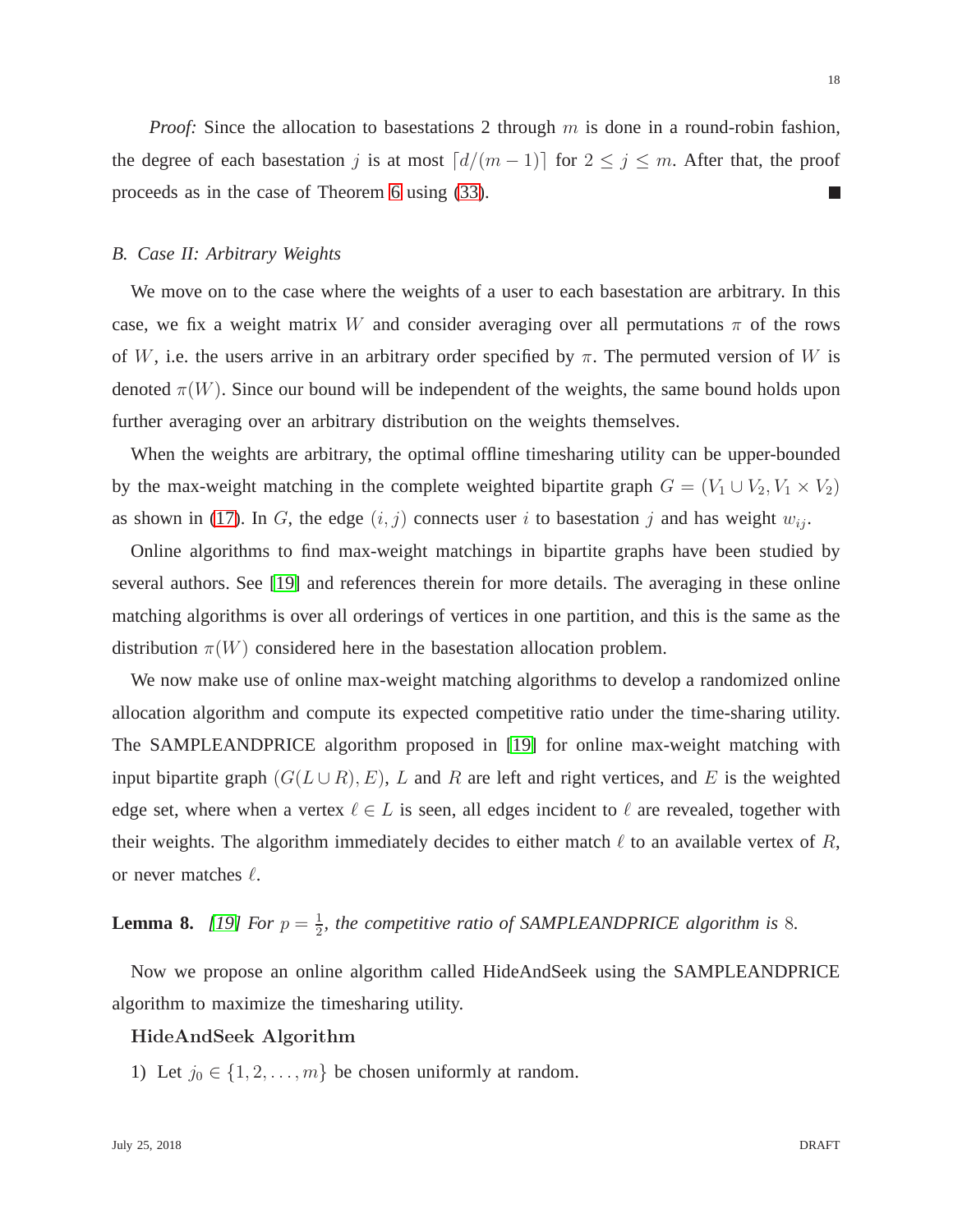*Proof:* Since the allocation to basestations 2 through m is done in a round-robin fashion, the degree of each basestation j is at most  $\lceil d/(m-1) \rceil$  for  $2 \leq j \leq m$ . After that, the proof proceeds as in the case of Theorem [6](#page-14-2) using [\(33\)](#page-16-2). m.

#### <span id="page-17-1"></span>*B. Case II: Arbitrary Weights*

We move on to the case where the weights of a user to each basestation are arbitrary. In this case, we fix a weight matrix W and consider averaging over all permutations  $\pi$  of the rows of W, i.e. the users arrive in an arbitrary order specified by  $\pi$ . The permuted version of W is denoted  $\pi(W)$ . Since our bound will be independent of the weights, the same bound holds upon further averaging over an arbitrary distribution on the weights themselves.

When the weights are arbitrary, the optimal offline timesharing utility can be upper-bounded by the max-weight matching in the complete weighted bipartite graph  $G = (V_1 \cup V_2, V_1 \times V_2)$ as shown in [\(17\)](#page-9-0). In G, the edge  $(i, j)$  connects user i to basestation j and has weight  $w_{ij}$ .

Online algorithms to find max-weight matchings in bipartite graphs have been studied by several authors. See [\[19\]](#page-29-13) and references therein for more details. The averaging in these online matching algorithms is over all orderings of vertices in one partition, and this is the same as the distribution  $\pi(W)$  considered here in the basestation allocation problem.

We now make use of online max-weight matching algorithms to develop a randomized online allocation algorithm and compute its expected competitive ratio under the time-sharing utility. The SAMPLEANDPRICE algorithm proposed in [\[19\]](#page-29-13) for online max-weight matching with input bipartite graph  $(G(L \cup R), E)$ , L and R are left and right vertices, and E is the weighted edge set, where when a vertex  $\ell \in L$  is seen, all edges incident to  $\ell$  are revealed, together with their weights. The algorithm immediately decides to either match  $\ell$  to an available vertex of R, or never matches  $\ell$ .

#### <span id="page-17-0"></span>**Lemma 8.** *[\[19\]](#page-29-13) For*  $p = \frac{1}{2}$  $\frac{1}{2}$ , the competitive ratio of SAMPLEANDPRICE algorithm is 8.

Now we propose an online algorithm called HideAndSeek using the SAMPLEANDPRICE algorithm to maximize the timesharing utility.

## HideAndSeek Algorithm

1) Let  $j_0 \in \{1, 2, \ldots, m\}$  be chosen uniformly at random.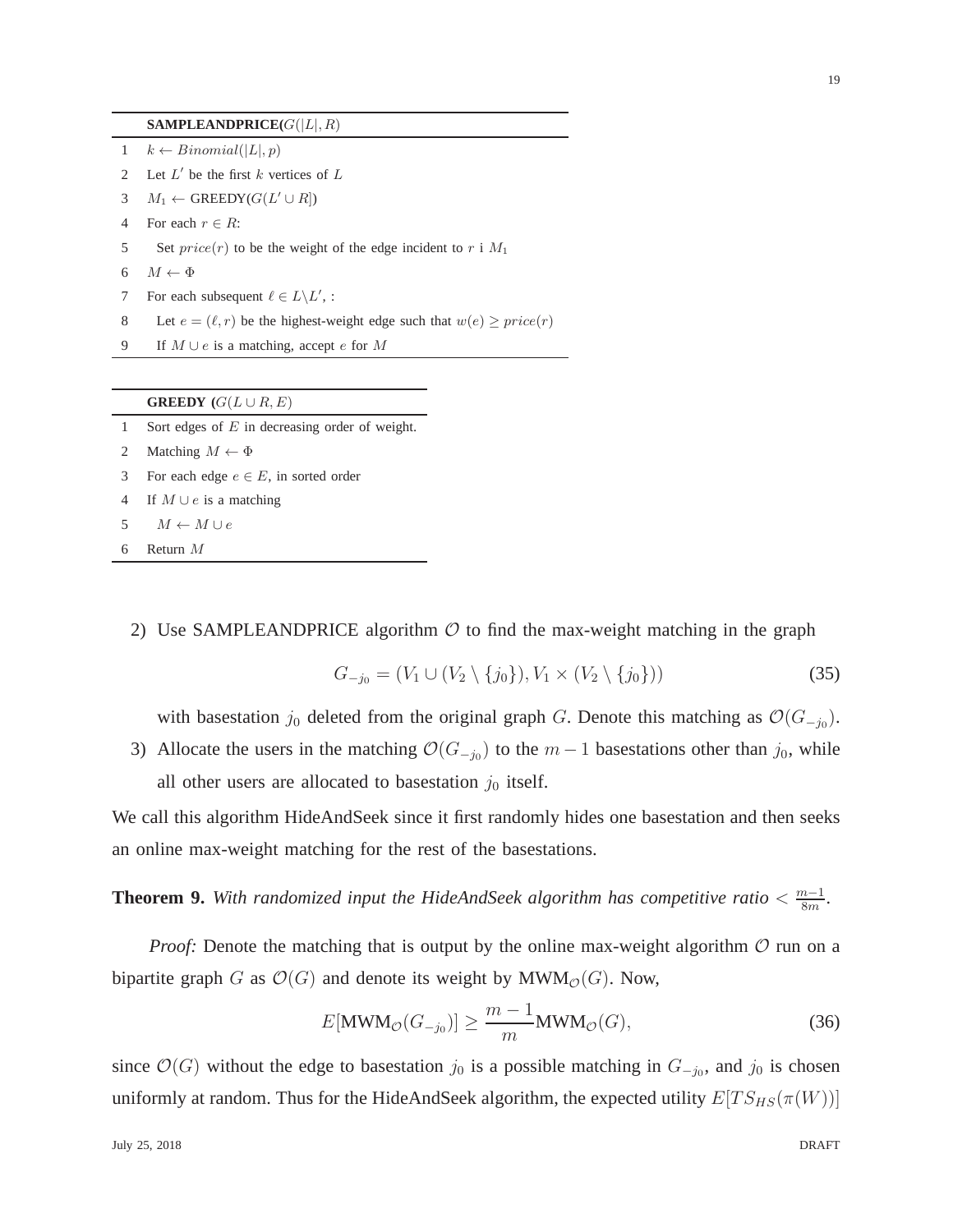#### **SAMPLEANDPRICE** $(G(|L|, R)$

- 1  $k \leftarrow Binomial(|L|, p)$
- 2 Let  $L'$  be the first k vertices of  $L$
- 3  $M_1 \leftarrow$  GREEDY( $G(L' \cup R)$ )
- 4 For each  $r \in R$ :
- 5 Set  $price(r)$  to be the weight of the edge incident to r i  $M_1$
- 6  $M \leftarrow \Phi$
- 7 For each subsequent  $\ell \in L \backslash L'$ , :
- 8 Let  $e = (\ell, r)$  be the highest-weight edge such that  $w(e) \geq price(r)$
- 9 If  $M \cup e$  is a matching, accept e for M

|  | <b>GREEDY</b> $(G(L \cup R, E))$ |
|--|----------------------------------|
|--|----------------------------------|

- 1 Sort edges of E in decreasing order of weight.
- 2 Matching  $M \leftarrow \Phi$
- 3 For each edge  $e \in E$ , in sorted order
- 4 If  $M \cup e$  is a matching
- 5  $M \leftarrow M \cup e$
- 6 Return M
	- 2) Use SAMPLEANDPRICE algorithm  $\mathcal O$  to find the max-weight matching in the graph

$$
G_{-j_0} = (V_1 \cup (V_2 \setminus \{j_0\}), V_1 \times (V_2 \setminus \{j_0\}))
$$
\n(35)

with basestation  $j_0$  deleted from the original graph G. Denote this matching as  $\mathcal{O}(G_{-j_0})$ .

3) Allocate the users in the matching  $\mathcal{O}(G_{-j_0})$  to the  $m-1$  basestations other than  $j_0$ , while all other users are allocated to basestation  $j_0$  itself.

We call this algorithm HideAndSeek since it first randomly hides one basestation and then seeks an online max-weight matching for the rest of the basestations.

**Theorem 9.** With randomized input the HideAndSeek algorithm has competitive ratio  $\lt \frac{m-1}{8m}$  $\frac{n-1}{8m}$ .

*Proof:* Denote the matching that is output by the online max-weight algorithm  $O$  run on a bipartite graph G as  $\mathcal{O}(G)$  and denote its weight by MWM<sub> $\mathcal{O}(G)$ </sub>. Now,

<span id="page-18-0"></span>
$$
E[\text{MWM}_{\mathcal{O}}(G_{-j_0})] \ge \frac{m-1}{m} \text{MWM}_{\mathcal{O}}(G),\tag{36}
$$

since  $\mathcal{O}(G)$  without the edge to basestation  $j_0$  is a possible matching in  $G_{-j_0}$ , and  $j_0$  is chosen uniformly at random. Thus for the HideAndSeek algorithm, the expected utility  $E[T S_{HS}(\pi(W))]$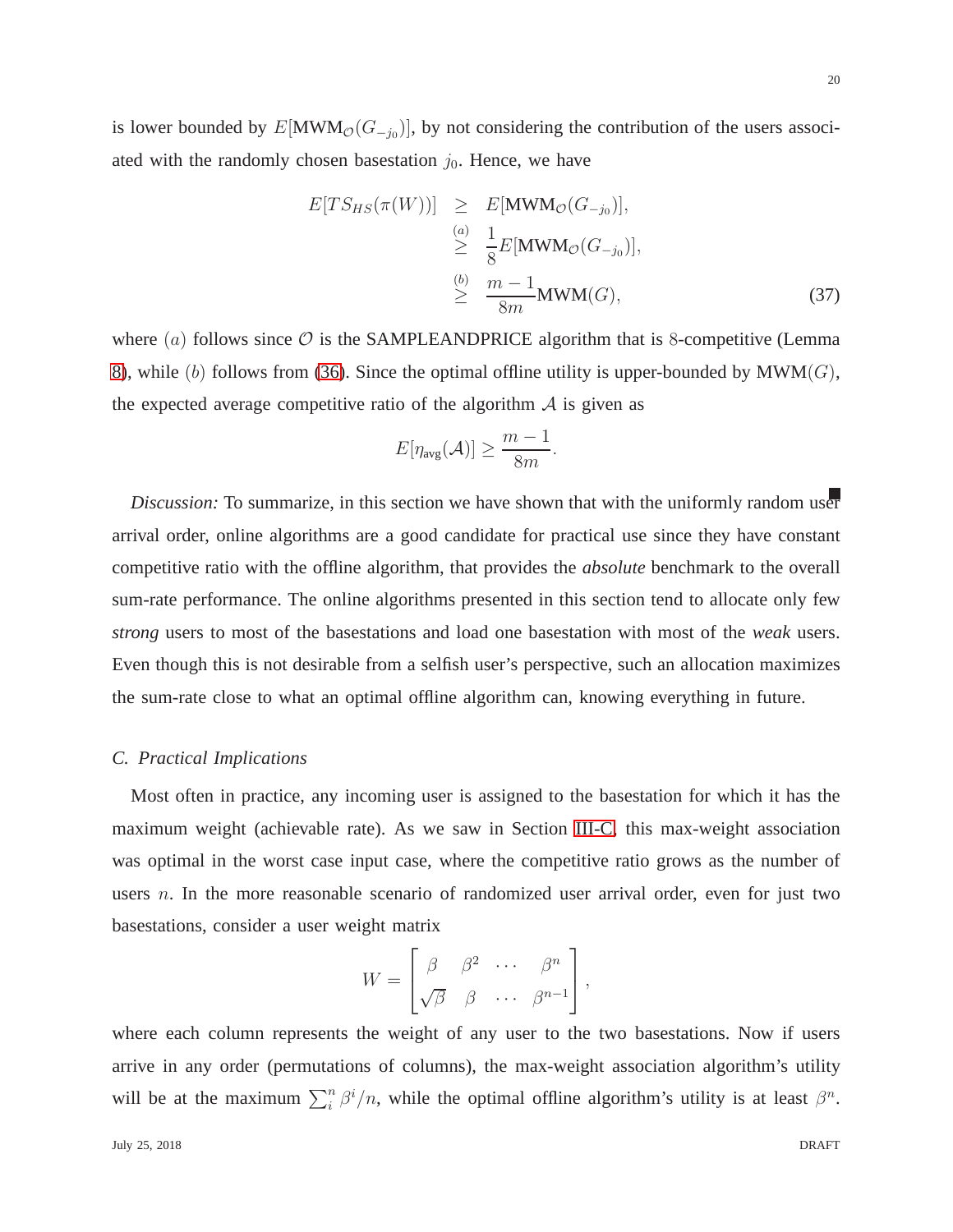20

is lower bounded by  $E[\text{MWM}_{\mathcal{O}}(G_{-j_0})]$ , by not considering the contribution of the users associated with the randomly chosen basestation  $j_0$ . Hence, we have

<span id="page-19-0"></span>
$$
E[TS_{HS}(\pi(W))] \geq E[\text{MWM}_{\mathcal{O}}(G_{-j_0})],
$$
  
\n
$$
\geq \frac{1}{8}E[\text{MWM}_{\mathcal{O}}(G_{-j_0})],
$$
  
\n
$$
\geq \frac{m-1}{8m}\text{MWM}(G),
$$
\n(37)

where  $(a)$  follows since  $\mathcal O$  is the SAMPLEANDPRICE algorithm that is 8-competitive (Lemma [8\)](#page-17-0), while (b) follows from [\(36\)](#page-18-0). Since the optimal offline utility is upper-bounded by  $\text{MWM}(G)$ , the expected average competitive ratio of the algorithm  $A$  is given as

$$
E[\eta_{\text{avg}}(\mathcal{A})] \ge \frac{m-1}{8m}.
$$

*Discussion:* To summarize, in this section we have shown that with the uniformly random user arrival order, online algorithms are a good candidate for practical use since they have constant competitive ratio with the offline algorithm, that provides the *absolute* benchmark to the overall sum-rate performance. The online algorithms presented in this section tend to allocate only few *strong* users to most of the basestations and load one basestation with most of the *weak* users. Even though this is not desirable from a selfish user's perspective, such an allocation maximizes the sum-rate close to what an optimal offline algorithm can, knowing everything in future.

#### <span id="page-19-1"></span>*C. Practical Implications*

Most often in practice, any incoming user is assigned to the basestation for which it has the maximum weight (achievable rate). As we saw in Section [III-C,](#page-9-1) this max-weight association was optimal in the worst case input case, where the competitive ratio grows as the number of users n. In the more reasonable scenario of randomized user arrival order, even for just two basestations, consider a user weight matrix

$$
W = \begin{bmatrix} \beta & \beta^2 & \cdots & \beta^n \\ \sqrt{\beta} & \beta & \cdots & \beta^{n-1} \end{bmatrix},
$$

where each column represents the weight of any user to the two basestations. Now if users arrive in any order (permutations of columns), the max-weight association algorithm's utility will be at the maximum  $\sum_{i}^{n} \beta^{i}/n$ , while the optimal offline algorithm's utility is at least  $\beta^{n}$ .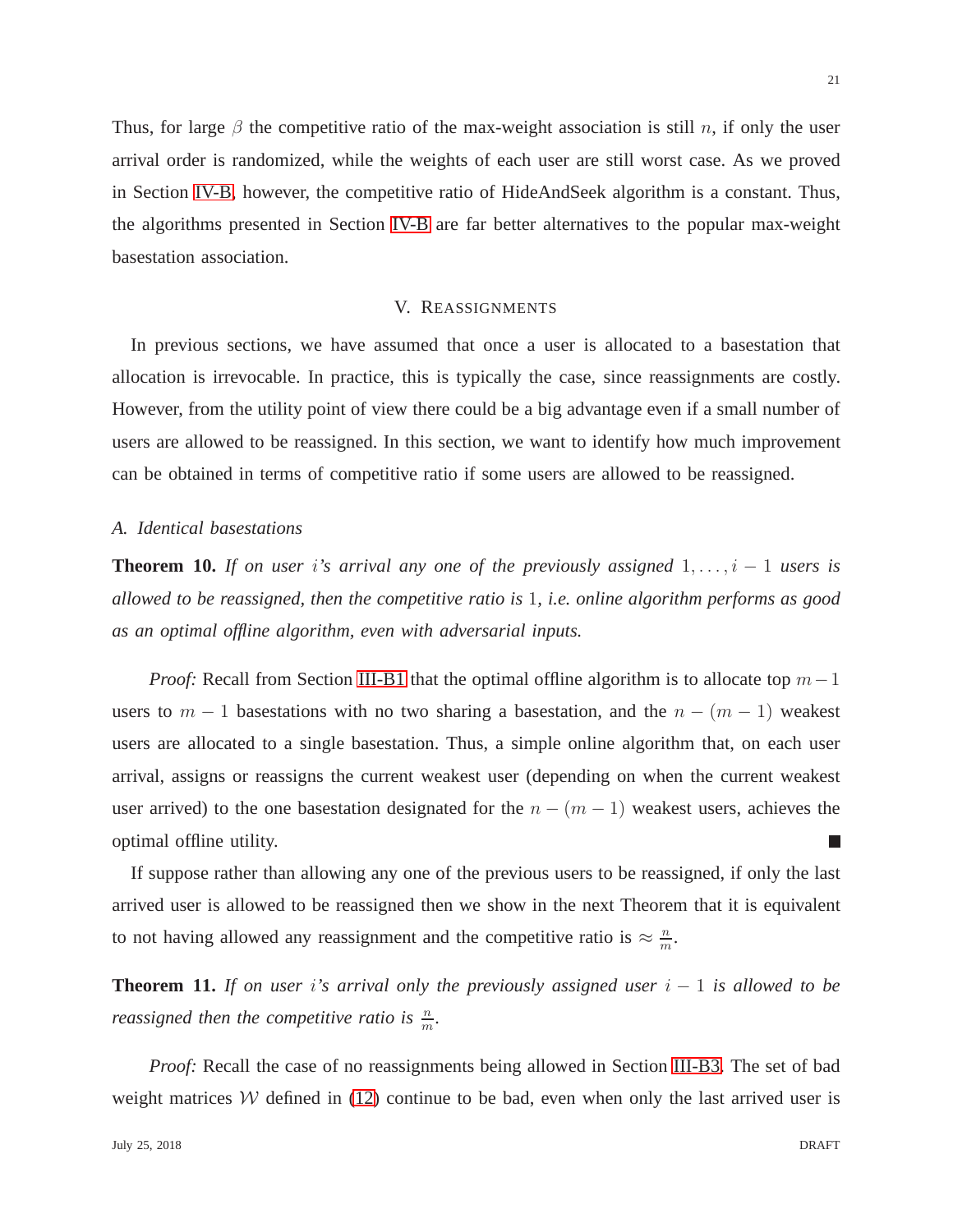Thus, for large  $\beta$  the competitive ratio of the max-weight association is still n, if only the user arrival order is randomized, while the weights of each user are still worst case. As we proved in Section [IV-B,](#page-17-1) however, the competitive ratio of HideAndSeek algorithm is a constant. Thus, the algorithms presented in Section [IV-B](#page-17-1) are far better alternatives to the popular max-weight basestation association.

#### V. REASSIGNMENTS

In previous sections, we have assumed that once a user is allocated to a basestation that allocation is irrevocable. In practice, this is typically the case, since reassignments are costly. However, from the utility point of view there could be a big advantage even if a small number of users are allowed to be reassigned. In this section, we want to identify how much improvement can be obtained in terms of competitive ratio if some users are allowed to be reassigned.

#### *A. Identical basestations*

**Theorem 10.** *If on user i's arrival any one of the previously assigned*  $1, \ldots, i - 1$  *users is allowed to be reassigned, then the competitive ratio is* 1*, i.e. online algorithm performs as good as an optimal offline algorithm, even with adversarial inputs.*

*Proof:* Recall from Section [III-B1](#page-6-2) that the optimal offline algorithm is to allocate top  $m-1$ users to  $m - 1$  basestations with no two sharing a basestation, and the  $n - (m - 1)$  weakest users are allocated to a single basestation. Thus, a simple online algorithm that, on each user arrival, assigns or reassigns the current weakest user (depending on when the current weakest user arrived) to the one basestation designated for the  $n - (m - 1)$  weakest users, achieves the optimal offline utility. L

If suppose rather than allowing any one of the previous users to be reassigned, if only the last arrived user is allowed to be reassigned then we show in the next Theorem that it is equivalent to not having allowed any reassignment and the competitive ratio is  $\approx \frac{n}{m}$  $\frac{n}{m}$ .

**Theorem 11.** *If on user i's arrival only the previously assigned user*  $i - 1$  *is allowed to be reassigned then the competitive ratio is*  $\frac{n}{m}$ *.* 

*Proof:* Recall the case of no reassignments being allowed in Section [III-B3.](#page-8-4) The set of bad weight matrices  $W$  defined in [\(12\)](#page-8-5) continue to be bad, even when only the last arrived user is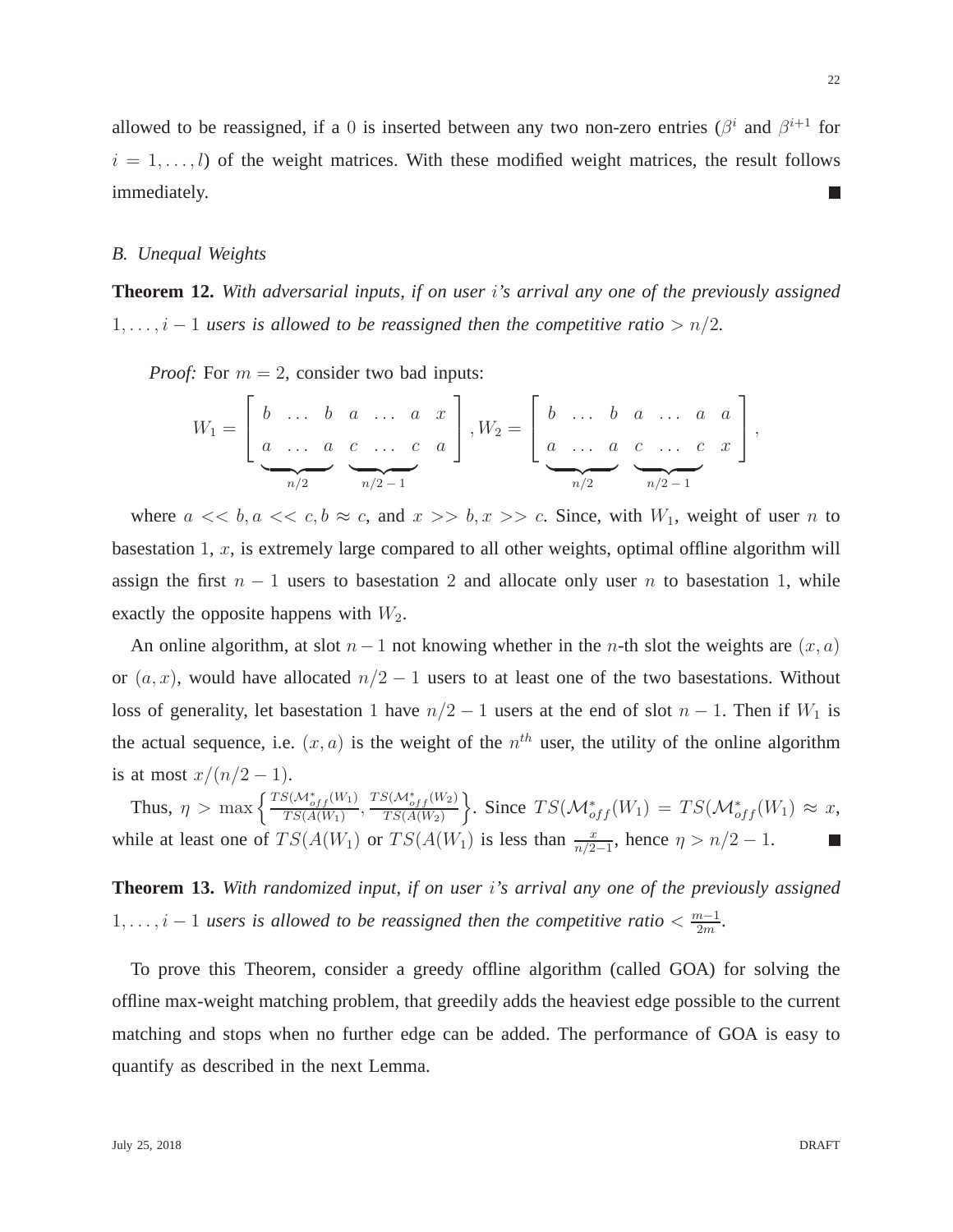allowed to be reassigned, if a 0 is inserted between any two non-zero entries ( $\beta^i$  and  $\beta^{i+1}$  for  $i = 1, \ldots, l$  of the weight matrices. With these modified weight matrices, the result follows immediately. L.

## *B. Unequal Weights*

**Theorem 12.** *With adversarial inputs, if on user* i*'s arrival any one of the previously assigned*  $1, \ldots, i-1$  *users is allowed to be reassigned then the competitive ratio* >  $n/2$ *.* 

*Proof:* For  $m = 2$ , consider two bad inputs:

$$
W_1 = \left[ \begin{array}{cccc} b & \dots & b & a & \dots & a & x \\ a & \dots & a & c & \dots & c & a \\ \vdots & & & & & & \\ \hline n/2 & & & & & \\ \end{array} \right], W_2 = \left[ \begin{array}{cccc} b & \dots & b & a & \dots & a & a \\ a & \dots & a & c & \dots & c & x \\ \vdots & & & & & \\ \hline n/2 & & & & \\ \hline n/2 & & & & \\ \end{array} \right],
$$

where  $a \ll b, a \ll c, b \approx c$ , and  $x \gg b, x \gg c$ . Since, with  $W_1$ , weight of user n to basestation 1,  $x$ , is extremely large compared to all other weights, optimal offline algorithm will assign the first  $n - 1$  users to basestation 2 and allocate only user n to basestation 1, while exactly the opposite happens with  $W_2$ .

An online algorithm, at slot  $n-1$  not knowing whether in the n-th slot the weights are  $(x, a)$ or  $(a, x)$ , would have allocated  $n/2 - 1$  users to at least one of the two basestations. Without loss of generality, let basestation 1 have  $n/2 - 1$  users at the end of slot  $n - 1$ . Then if  $W_1$  is the actual sequence, i.e.  $(x, a)$  is the weight of the  $n<sup>th</sup>$  user, the utility of the online algorithm is at most  $x/(n/2-1)$ .

Thus,  $\eta > \max \left\{ \frac{TS(\mathcal{M}^*_{off}(W_1))}{TS(A(W_1))} \right\}$  $\frac{TS(\mathcal{M}^*_{off}(W_1)}{TS(A(W_1)}, \frac{TS(\mathcal{M}^*_{off}(W_2))}{TS(A(W_2))}$  $\Big\}$ . Since  $TS(\mathcal{M}^*_{off}(W_1) = TS(\mathcal{M}^*_{off}(W_1) \approx x,$  $TS(A(W_2)$ while at least one of  $TS(A(W_1)$  or  $TS(A(W_1)$  is less than  $\frac{x}{n/2-1}$ , hence  $\eta > n/2 - 1$ . П

<span id="page-21-0"></span>**Theorem 13.** *With randomized input, if on user* i*'s arrival any one of the previously assigned*  $1, \ldots, i-1$  *users is allowed to be reassigned then the competitive ratio*  $\lt \frac{m-1}{2m}$  $rac{n-1}{2m}$ .

To prove this Theorem, consider a greedy offline algorithm (called GOA) for solving the offline max-weight matching problem, that greedily adds the heaviest edge possible to the current matching and stops when no further edge can be added. The performance of GOA is easy to quantify as described in the next Lemma.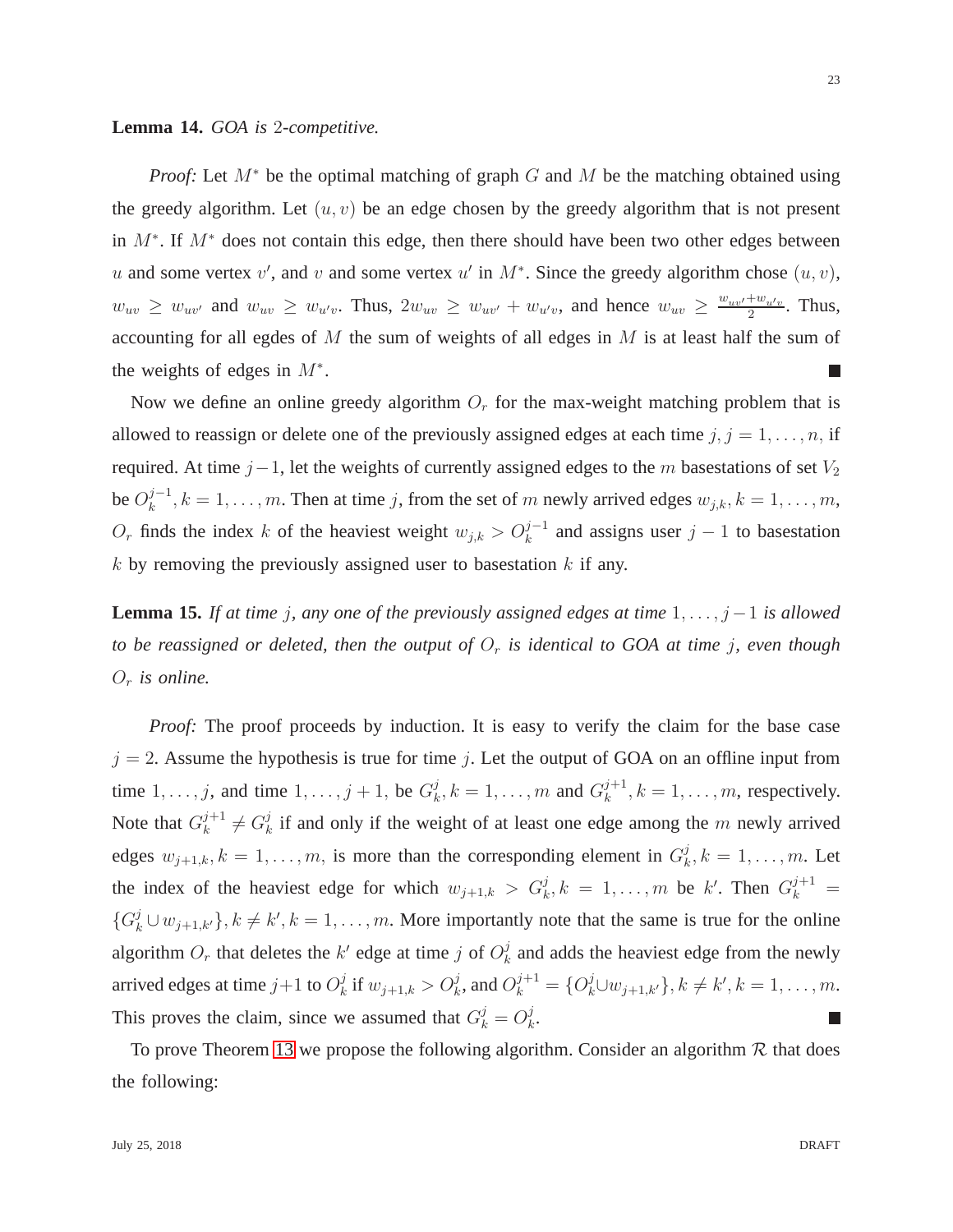#### <span id="page-22-0"></span>**Lemma 14.** *GOA is* 2*-competitive.*

*Proof:* Let  $M^*$  be the optimal matching of graph G and M be the matching obtained using the greedy algorithm. Let  $(u, v)$  be an edge chosen by the greedy algorithm that is not present in  $M^*$ . If  $M^*$  does not contain this edge, then there should have been two other edges between u and some vertex v', and v and some vertex u' in  $M^*$ . Since the greedy algorithm chose  $(u, v)$ ,  $w_{uv} \geq w_{uv'}$  and  $w_{uv} \geq w_{u'v}$ . Thus,  $2w_{uv} \geq w_{uv'} + w_{u'v}$ , and hence  $w_{uv} \geq \frac{w_{uv'} + w_{u'v}}{2}$  $rac{+w_{u'v}}{2}$ . Thus, accounting for all egdes of  $M$  the sum of weights of all edges in  $M$  is at least half the sum of the weights of edges in  $M^*$ . m.

Now we define an online greedy algorithm  $O_r$  for the max-weight matching problem that is allowed to reassign or delete one of the previously assigned edges at each time  $j, j = 1, \ldots, n$ , if required. At time  $j-1$ , let the weights of currently assigned edges to the m basestations of set  $V_2$ be  $O_k^{j-1}$  $k=1,\ldots,m$ . Then at time j, from the set of m newly arrived edges  $w_{j,k}, k=1,\ldots,m$ ,  $O_r$  finds the index k of the heaviest weight  $w_{j,k} > O_k^{j-1}$  and assigns user  $j-1$  to basestation  $k$  by removing the previously assigned user to basestation  $k$  if any.

<span id="page-22-1"></span>**Lemma 15.** *If at time j, any one of the previously assigned edges at time*  $1, \ldots, j-1$  *is allowed to be reassigned or deleted, then the output of*  $O_r$  *is identical to GOA at time j, even though*  $O_r$  *is online.* 

*Proof:* The proof proceeds by induction. It is easy to verify the claim for the base case  $j = 2$ . Assume the hypothesis is true for time j. Let the output of GOA on an offline input from time  $1, \ldots, j$ , and time  $1, \ldots, j + 1$ , be  $G_k^j$  $k, k = 1, ..., m$  and  $G_k^{j+1}$  $k^{j+1}, k = 1, \ldots, m$ , respectively. Note that  $G_k^{j+1}$  $k^{j+1} \neq G_k^j$  $\frac{d}{dx}$  if and only if the weight of at least one edge among the m newly arrived edges  $w_{j+1,k}, k = 1, \ldots, m$ , is more than the corresponding element in  $G_k^j$  $\mathcal{L}_k^j, k = 1, \ldots, m$ . Let the index of the heaviest edge for which  $w_{j+1,k} > G_k^j, k = 1, \ldots, m$  be k'. Then  $G_k^{j+1} =$  $\{G_k^j \cup w_{j+1,k'}\}, k \neq k', k = 1, \ldots, m$ . More importantly note that the same is true for the online algorithm  $O_r$  that deletes the  $k'$  edge at time j of  $O_k^j$  $\frac{d}{dx}$  and adds the heaviest edge from the newly arrived edges at time  $j+1$  to  $O_k^j$  $k \text{ if } w_{j+1,k} > O_k^j \text{, and } O_k^{j+1} = \{O_k^j \cup w_{j+1,k'}\}, k \neq k', k = 1, \ldots, m.$ This proves the claim, since we assumed that  $G_k^j = O_k^j$  $\frac{j}{k}$ .  $\mathbb{R}^3$ 

To prove Theorem [13](#page-21-0) we propose the following algorithm. Consider an algorithm  $R$  that does the following: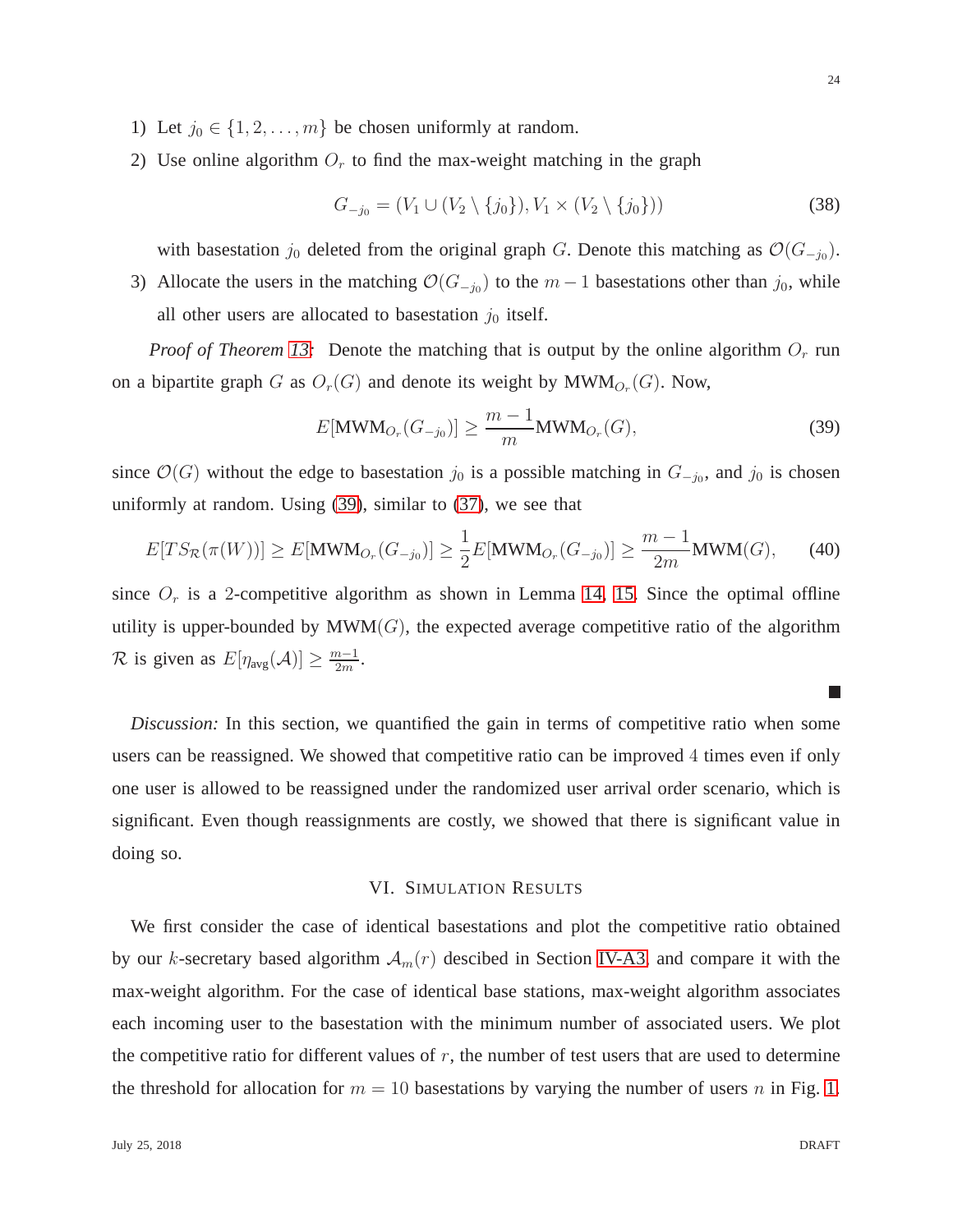- 1) Let  $j_0 \in \{1, 2, \ldots, m\}$  be chosen uniformly at random.
- 2) Use online algorithm  $O_r$  to find the max-weight matching in the graph

$$
G_{-j_0} = (V_1 \cup (V_2 \setminus \{j_0\}), V_1 \times (V_2 \setminus \{j_0\}))
$$
\n(38)

with basestation  $j_0$  deleted from the original graph G. Denote this matching as  $\mathcal{O}(G_{-j_0})$ .

3) Allocate the users in the matching  $\mathcal{O}(G_{-j_0})$  to the  $m-1$  basestations other than  $j_0$ , while all other users are allocated to basestation  $j_0$  itself.

*Proof of Theorem [13:](#page-21-0)* Denote the matching that is output by the online algorithm  $O_r$  run on a bipartite graph G as  $O_r(G)$  and denote its weight by  $\text{MWM}_{O_r}(G)$ . Now,

<span id="page-23-0"></span>
$$
E[\text{MWM}_{O_r}(G_{-j_0})] \ge \frac{m-1}{m} \text{MWM}_{O_r}(G),\tag{39}
$$

since  $\mathcal{O}(G)$  without the edge to basestation  $j_0$  is a possible matching in  $G_{-j_0}$ , and  $j_0$  is chosen uniformly at random. Using [\(39\)](#page-23-0), similar to [\(37\)](#page-19-0), we see that

$$
E[TS_{\mathcal{R}}(\pi(W))] \ge E[\text{MWM}_{O_r}(G_{-j_0})] \ge \frac{1}{2}E[\text{MWM}_{O_r}(G_{-j_0})] \ge \frac{m-1}{2m}\text{MWM}(G),\tag{40}
$$

since  $O_r$  is a 2-competitive algorithm as shown in Lemma [14,](#page-22-0) [15.](#page-22-1) Since the optimal offline utility is upper-bounded by  $\text{MWM}(G)$ , the expected average competitive ratio of the algorithm R is given as  $E[\eta_{\text{avg}}(\mathcal{A})] \ge \frac{m-1}{2m}$  $\frac{n-1}{2m}$ .

*Discussion:* In this section, we quantified the gain in terms of competitive ratio when some users can be reassigned. We showed that competitive ratio can be improved 4 times even if only one user is allowed to be reassigned under the randomized user arrival order scenario, which is significant. Even though reassignments are costly, we showed that there is significant value in doing so.

## VI. SIMULATION RESULTS

We first consider the case of identical basestations and plot the competitive ratio obtained by our k-secretary based algorithm  $A_m(r)$  descibed in Section [IV-A3,](#page-15-0) and compare it with the max-weight algorithm. For the case of identical base stations, max-weight algorithm associates each incoming user to the basestation with the minimum number of associated users. We plot the competitive ratio for different values of  $r$ , the number of test users that are used to determine the threshold for allocation for  $m = 10$  basestations by varying the number of users n in Fig. [1.](#page-24-0)

**T**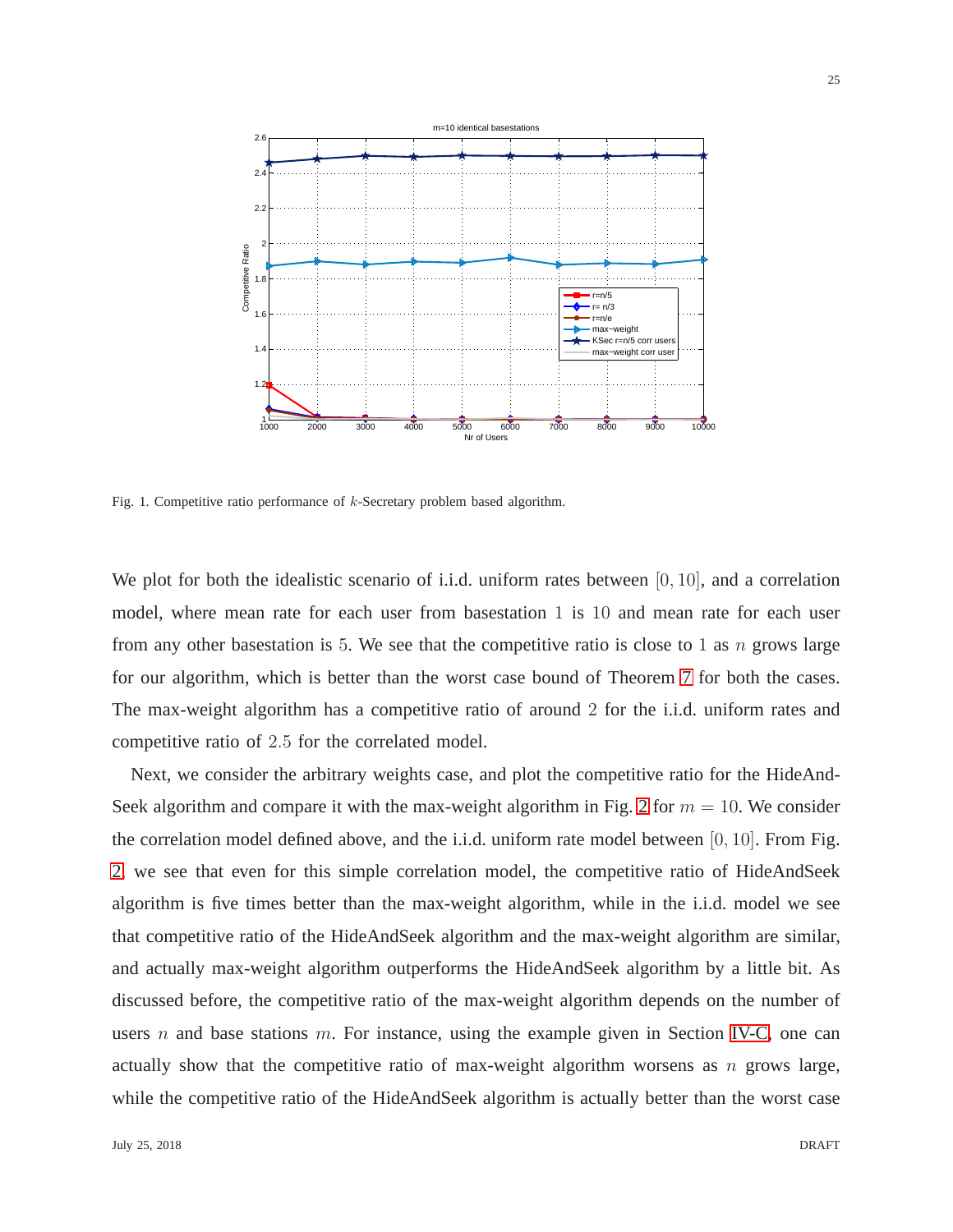

<span id="page-24-0"></span>Fig. 1. Competitive ratio performance of  $k$ -Secretary problem based algorithm.

We plot for both the idealistic scenario of i.i.d. uniform rates between [0, 10], and a correlation model, where mean rate for each user from basestation 1 is 10 and mean rate for each user from any other basestation is 5. We see that the competitive ratio is close to 1 as  $n$  grows large for our algorithm, which is better than the worst case bound of Theorem [7](#page-16-3) for both the cases. The max-weight algorithm has a competitive ratio of around 2 for the i.i.d. uniform rates and competitive ratio of 2.5 for the correlated model.

Next, we consider the arbitrary weights case, and plot the competitive ratio for the HideAnd-Seek algorithm and compare it with the max-weight algorithm in Fig. [2](#page-25-0) for  $m = 10$ . We consider the correlation model defined above, and the i.i.d. uniform rate model between [0, 10]. From Fig. [2,](#page-25-0) we see that even for this simple correlation model, the competitive ratio of HideAndSeek algorithm is five times better than the max-weight algorithm, while in the i.i.d. model we see that competitive ratio of the HideAndSeek algorithm and the max-weight algorithm are similar, and actually max-weight algorithm outperforms the HideAndSeek algorithm by a little bit. As discussed before, the competitive ratio of the max-weight algorithm depends on the number of users  $n$  and base stations  $m$ . For instance, using the example given in Section [IV-C,](#page-19-1) one can actually show that the competitive ratio of max-weight algorithm worsens as  $n$  grows large, while the competitive ratio of the HideAndSeek algorithm is actually better than the worst case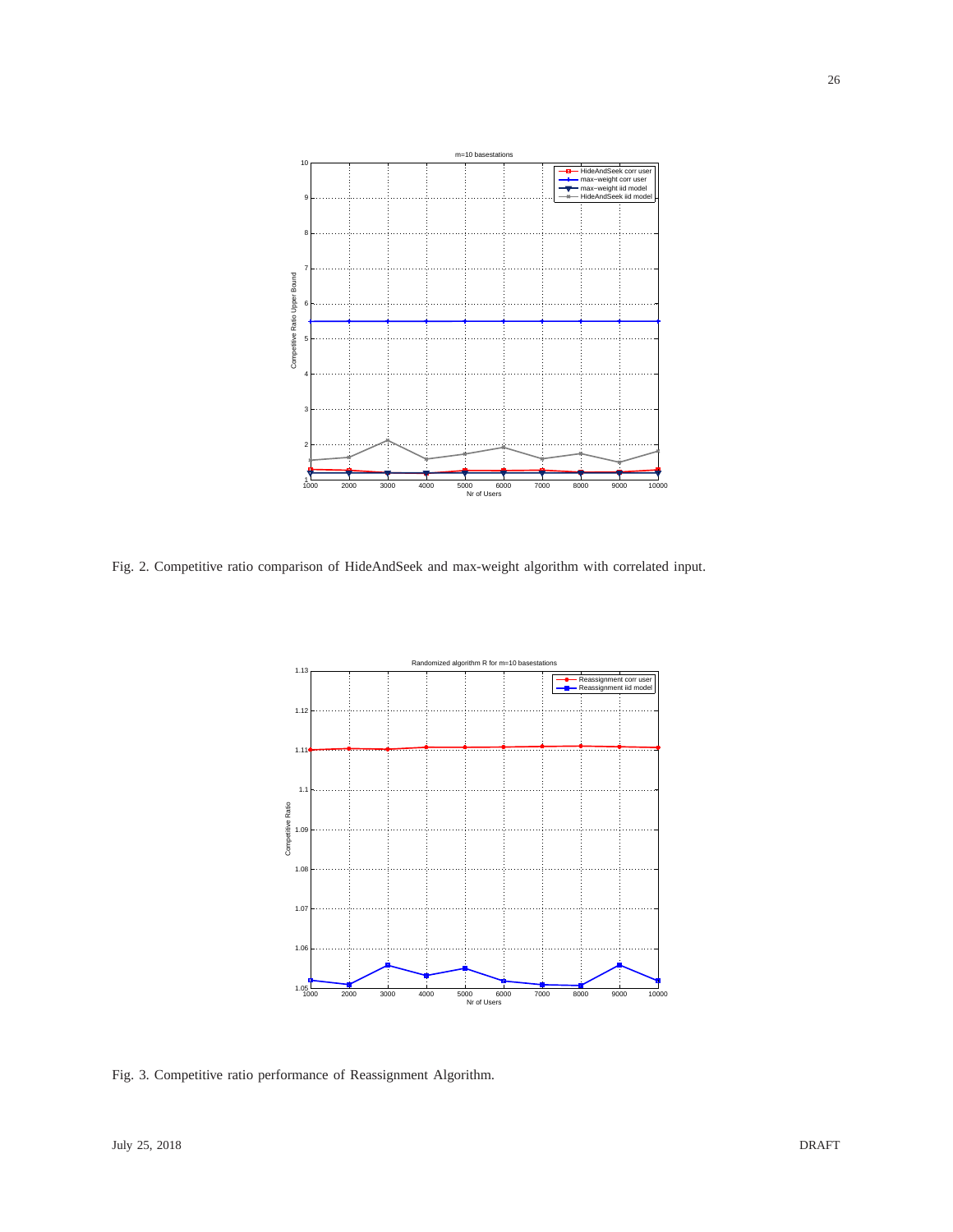

<span id="page-25-0"></span>Fig. 2. Competitive ratio comparison of HideAndSeek and max-weight algorithm with correlated input.



<span id="page-25-1"></span>Fig. 3. Competitive ratio performance of Reassignment Algorithm.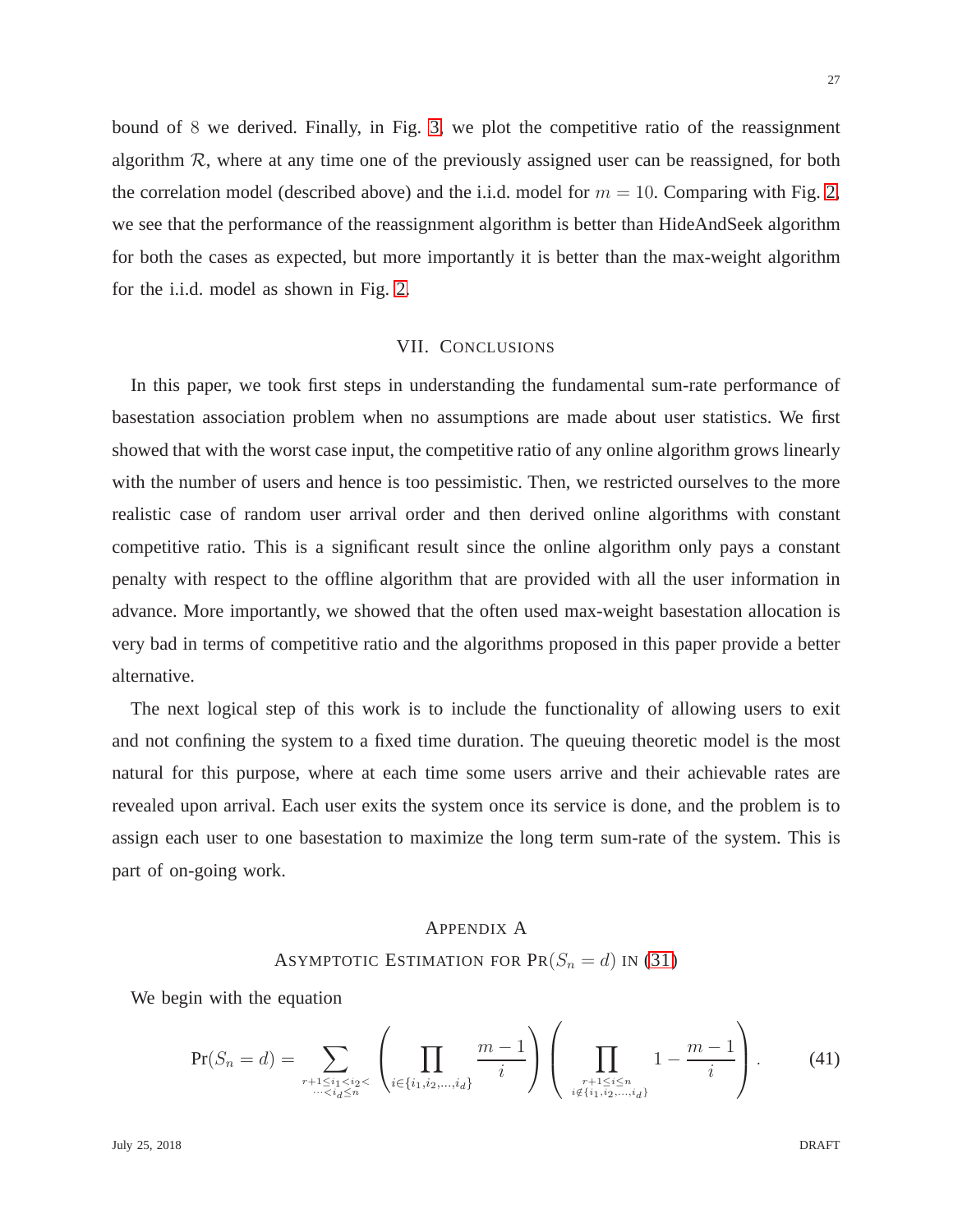bound of 8 we derived. Finally, in Fig. [3,](#page-25-1) we plot the competitive ratio of the reassignment algorithm  $R$ , where at any time one of the previously assigned user can be reassigned, for both the correlation model (described above) and the i.i.d. model for  $m = 10$ . Comparing with Fig. [2,](#page-25-0) we see that the performance of the reassignment algorithm is better than HideAndSeek algorithm for both the cases as expected, but more importantly it is better than the max-weight algorithm for the i.i.d. model as shown in Fig. [2.](#page-25-0)

## VII. CONCLUSIONS

In this paper, we took first steps in understanding the fundamental sum-rate performance of basestation association problem when no assumptions are made about user statistics. We first showed that with the worst case input, the competitive ratio of any online algorithm grows linearly with the number of users and hence is too pessimistic. Then, we restricted ourselves to the more realistic case of random user arrival order and then derived online algorithms with constant competitive ratio. This is a significant result since the online algorithm only pays a constant penalty with respect to the offline algorithm that are provided with all the user information in advance. More importantly, we showed that the often used max-weight basestation allocation is very bad in terms of competitive ratio and the algorithms proposed in this paper provide a better alternative.

The next logical step of this work is to include the functionality of allowing users to exit and not confining the system to a fixed time duration. The queuing theoretic model is the most natural for this purpose, where at each time some users arrive and their achievable rates are revealed upon arrival. Each user exits the system once its service is done, and the problem is to assign each user to one basestation to maximize the long term sum-rate of the system. This is part of on-going work.

## <span id="page-26-0"></span>APPENDIX A

## ASYMPTOTIC ESTIMATION FOR  $\text{PR}(S_n = d)$  IN [\(31\)](#page-16-0)

We begin with the equation

<span id="page-26-1"></span>
$$
\Pr(S_n = d) = \sum_{\substack{r+1 \le i_1 < i_2 < \\ \dots < i_d \le n}} \left( \prod_{i \in \{i_1, i_2, \dots, i_d\}} \frac{m-1}{i} \right) \left( \prod_{\substack{r+1 \le i \le n \\ i \notin \{i_1, i_2, \dots, i_d\}}} 1 - \frac{m-1}{i} \right). \tag{41}
$$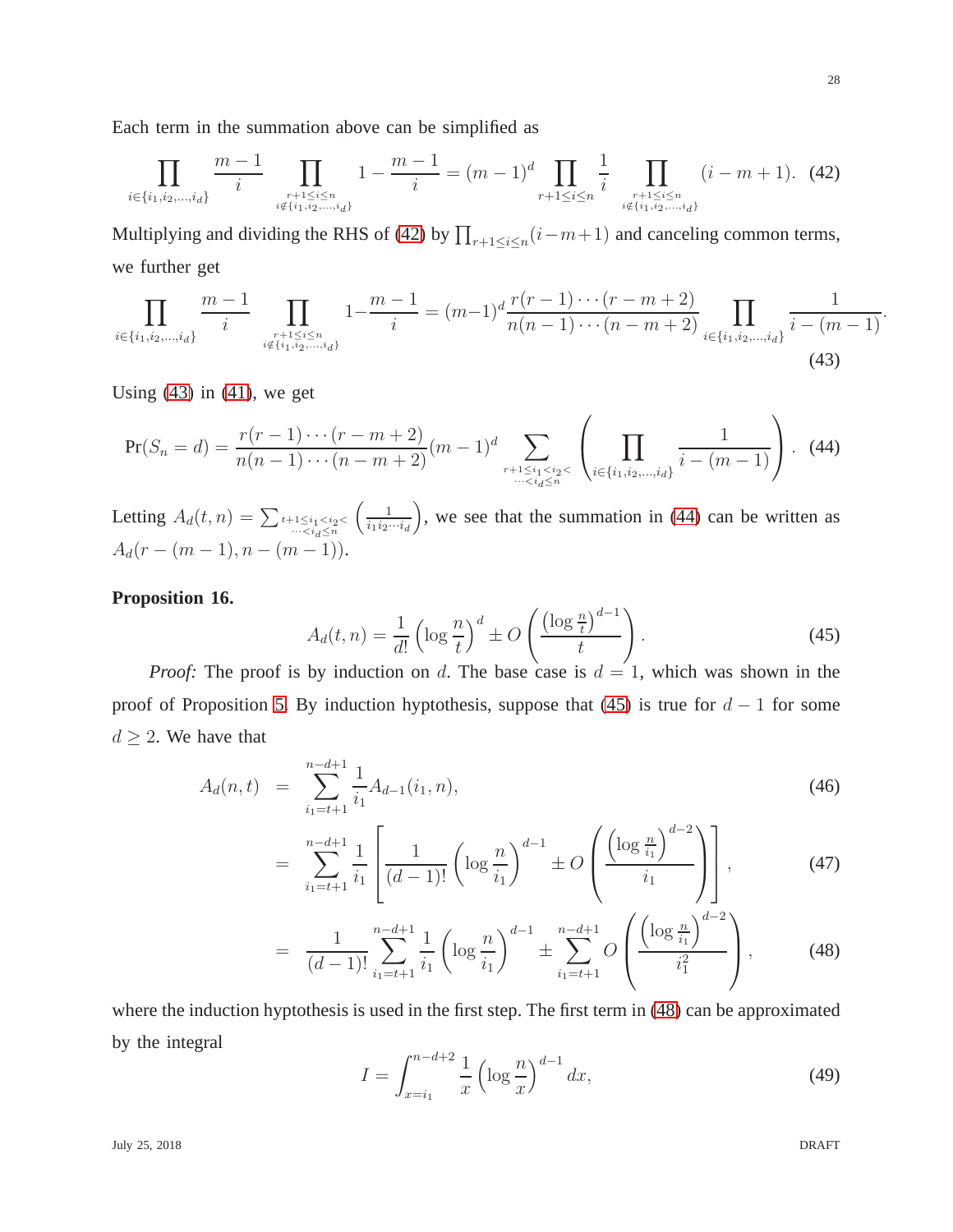<span id="page-27-0"></span>
$$
\prod_{i \in \{i_1, i_2, \dots, i_d\}} \frac{m-1}{i} \prod_{\substack{r+1 \le i \le n \\ i \notin \{i_1, i_2, \dots, i_d\}}} 1 - \frac{m-1}{i} = (m-1)^d \prod_{\substack{r+1 \le i \le n \\ r+1 \le i \le n \\ i \notin \{i_1, i_2, \dots, i_d\}}} \frac{1}{i} \prod_{\substack{r+1 \le i \le n \\ i \notin \{i_1, i_2, \dots, i_d\}}} (i-m+1). \tag{42}
$$

Multiplying and dividing the RHS of [\(42\)](#page-27-0) by  $\prod_{r+1 \leq i \leq n} (i-m+1)$  and canceling common terms, we further get

<span id="page-27-1"></span>
$$
\prod_{i \in \{i_1, i_2, \dots, i_d\}} \frac{m-1}{i} \prod_{\substack{r+1 \le i \le n \\ i \notin \{i_1, i_2, \dots, i_d\}}} 1 - \frac{m-1}{i} = (m-1)^d \frac{r(r-1)\cdots(r-m+2)}{n(n-1)\cdots(n-m+2)} \prod_{i \in \{i_1, i_2, \dots, i_d\}} \frac{1}{i - (m-1)}.
$$
\n(43)

Using  $(43)$  in  $(41)$ , we get

Each term in the summation above can be simplified as

<span id="page-27-2"></span>
$$
\Pr(S_n = d) = \frac{r(r-1)\cdots(r-m+2)}{n(n-1)\cdots(n-m+2)}(m-1)^d \sum_{\substack{r+1 \le i_1 < i_2 < \\ \dots < i_d \le n}} \left(\prod_{i \in \{i_1, i_2, \dots, i_d\}} \frac{1}{i - (m-1)}\right). \tag{44}
$$

Letting  $A_d(t,n) = \sum_{t+1 \leq i_1 < i_2 < \dots < i_d \leq n}$  $\begin{pmatrix} 1 \end{pmatrix}$  $i_1i_2\cdots i_d$ ), we see that the summation in  $(44)$  can be written as  $A_d(r - (m-1), n - (m-1)).$ 

## **Proposition 16.**

<span id="page-27-3"></span>
$$
A_d(t,n) = \frac{1}{d!} \left( \log \frac{n}{t} \right)^d \pm O\left(\frac{\left(\log \frac{n}{t}\right)^{d-1}}{t}\right).
$$
\n(45)

*Proof:* The proof is by induction on d. The base case is  $d = 1$ , which was shown in the proof of Proposition [5.](#page-13-0) By induction hyptothesis, suppose that [\(45\)](#page-27-3) is true for  $d-1$  for some  $d \geq 2$ . We have that

<span id="page-27-4"></span>
$$
A_d(n,t) = \sum_{i_1=t+1}^{n-d+1} \frac{1}{i_1} A_{d-1}(i_1,n), \tag{46}
$$

$$
= \sum_{i_1=t+1}^{n-d+1} \frac{1}{i_1} \left[ \frac{1}{(d-1)!} \left( \log \frac{n}{i_1} \right)^{d-1} \pm O\left( \frac{\left( \log \frac{n}{i_1} \right)^{d-2}}{i_1} \right) \right],
$$
 (47)

$$
= \frac{1}{(d-1)!} \sum_{i_1=t+1}^{n-d+1} \frac{1}{i_1} \left( \log \frac{n}{i_1} \right)^{d-1} \pm \sum_{i_1=t+1}^{n-d+1} O\left(\frac{\left(\log \frac{n}{i_1}\right)^{d-2}}{i_1^2}\right),\tag{48}
$$

where the induction hyptothesis is used in the first step. The first term in [\(48\)](#page-27-4) can be approximated by the integral

<span id="page-27-5"></span>
$$
I = \int_{x=i_1}^{n-d+2} \frac{1}{x} \left( \log \frac{n}{x} \right)^{d-1} dx,
$$
 (49)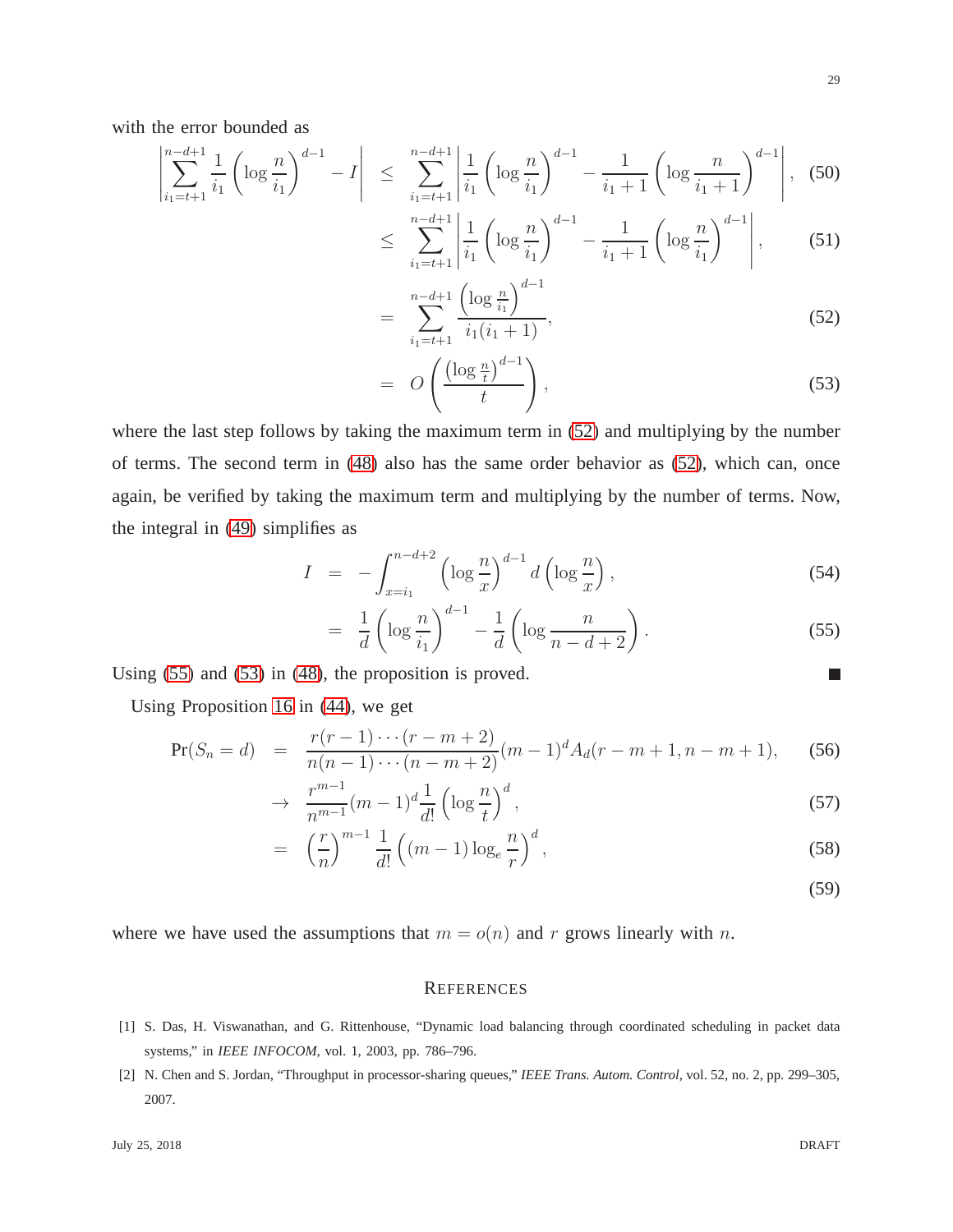with the error bounded as

<span id="page-28-1"></span>
$$
\left| \sum_{i_1=t+1}^{n-d+1} \frac{1}{i_1} \left( \log \frac{n}{i_1} \right)^{d-1} - I \right| \le \sum_{i_1=t+1}^{n-d+1} \left| \frac{1}{i_1} \left( \log \frac{n}{i_1} \right)^{d-1} - \frac{1}{i_1+1} \left( \log \frac{n}{i_1+1} \right)^{d-1} \right|, \tag{50}
$$

$$
\leq \sum_{i_1=t+1}^{n-d+1} \left| \frac{1}{i_1} \left( \log \frac{n}{i_1} \right)^{d-1} - \frac{1}{i_1+1} \left( \log \frac{n}{i_1} \right)^{d-1} \right|, \tag{51}
$$

$$
= \sum_{i_1=t+1}^{n-d+1} \frac{\left(\log \frac{n}{i_1}\right)^{d-1}}{i_1(i_1+1)},\tag{52}
$$

$$
= O\left(\frac{\left(\log\frac{n}{t}\right)^{d-1}}{t}\right),\tag{53}
$$

where the last step follows by taking the maximum term in [\(52\)](#page-28-1) and multiplying by the number of terms. The second term in [\(48\)](#page-27-4) also has the same order behavior as [\(52\)](#page-28-1), which can, once again, be verified by taking the maximum term and multiplying by the number of terms. Now, the integral in [\(49\)](#page-27-5) simplifies as

<span id="page-28-2"></span>
$$
I = -\int_{x=i_1}^{n-d+2} \left( \log \frac{n}{x} \right)^{d-1} d\left( \log \frac{n}{x} \right),\tag{54}
$$

$$
= \frac{1}{d} \left( \log \frac{n}{i_1} \right)^{d-1} - \frac{1}{d} \left( \log \frac{n}{n-d+2} \right). \tag{55}
$$

Using [\(55\)](#page-28-2) and [\(53\)](#page-28-1) in [\(48\)](#page-27-4), the proposition is proved.

Using Proposition [16](#page-27-3) in [\(44\)](#page-27-2), we get

$$
\Pr(S_n = d) = \frac{r(r-1)\cdots(r-m+2)}{n(n-1)\cdots(n-m+2)}(m-1)^d A_d(r-m+1, n-m+1), \tag{56}
$$

$$
\rightarrow \frac{r^{m-1}}{n^{m-1}}(m-1)^d \frac{1}{d!} \left(\log \frac{n}{t}\right)^d,\tag{57}
$$

$$
= \left(\frac{r}{n}\right)^{m-1} \frac{1}{d!} \left((m-1)\log_e \frac{n}{r}\right)^d,\tag{58}
$$

(59)

 $\Box$ 

where we have used the assumptions that  $m = o(n)$  and r grows linearly with n.

## **REFERENCES**

- <span id="page-28-0"></span>[1] S. Das, H. Viswanathan, and G. Rittenhouse, "Dynamic load balancing through coordinated scheduling in packet data systems," in *IEEE INFOCOM*, vol. 1, 2003, pp. 786–796.
- [2] N. Chen and S. Jordan, "Throughput in processor-sharing queues," *IEEE Trans. Autom. Control*, vol. 52, no. 2, pp. 299–305, 2007.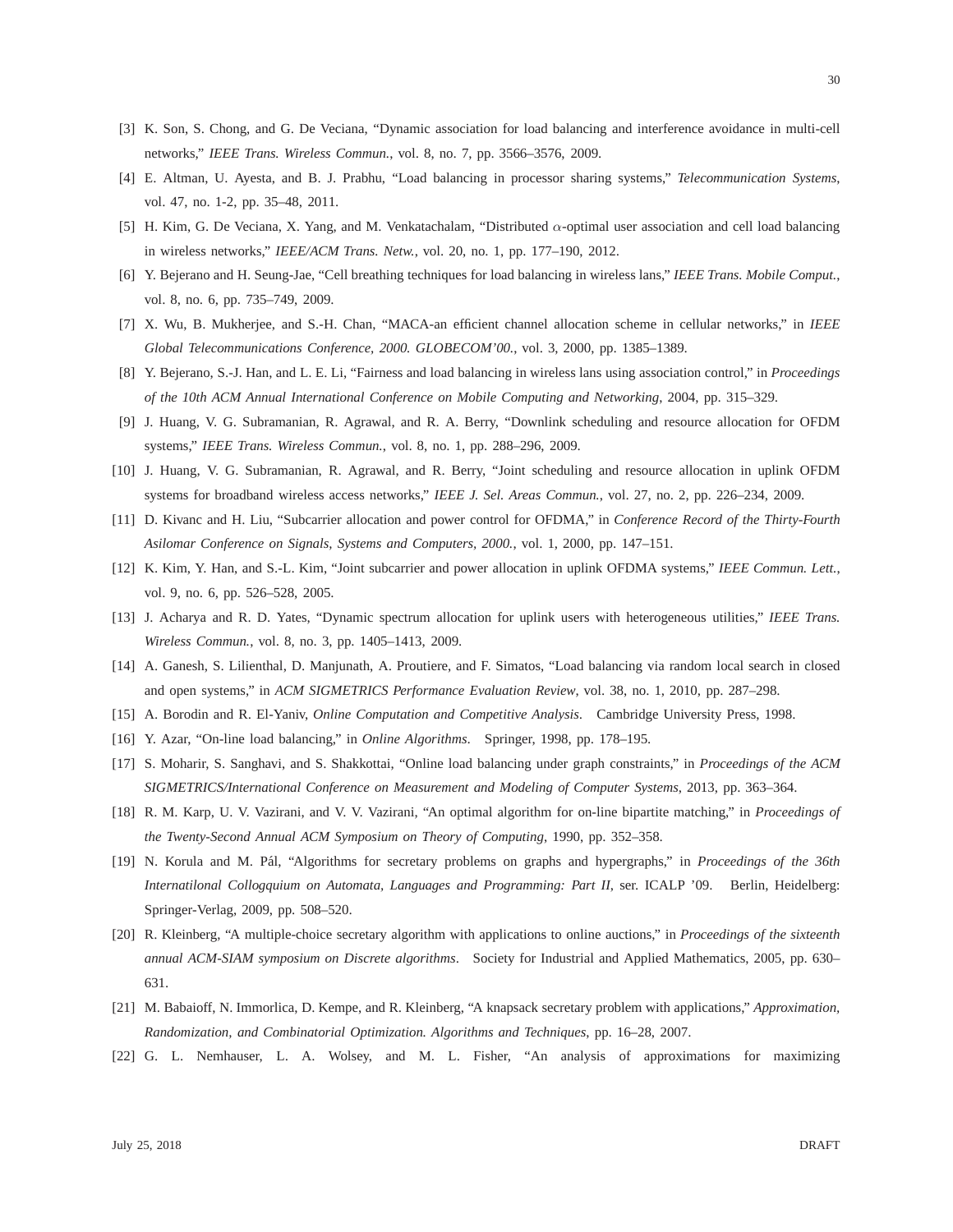- [3] K. Son, S. Chong, and G. De Veciana, "Dynamic association for load balancing and interference avoidance in multi-cell networks," *IEEE Trans. Wireless Commun.*, vol. 8, no. 7, pp. 3566–3576, 2009.
- <span id="page-29-0"></span>[4] E. Altman, U. Ayesta, and B. J. Prabhu, "Load balancing in processor sharing systems," *Telecommunication Systems*, vol. 47, no. 1-2, pp. 35–48, 2011.
- <span id="page-29-1"></span>[5] H. Kim, G. De Veciana, X. Yang, and M. Venkatachalam, "Distributed α-optimal user association and cell load balancing in wireless networks," *IEEE/ACM Trans. Netw.*, vol. 20, no. 1, pp. 177–190, 2012.
- <span id="page-29-2"></span>[6] Y. Bejerano and H. Seung-Jae, "Cell breathing techniques for load balancing in wireless lans," *IEEE Trans. Mobile Comput.*, vol. 8, no. 6, pp. 735–749, 2009.
- <span id="page-29-3"></span>[7] X. Wu, B. Mukherjee, and S.-H. Chan, "MACA-an efficient channel allocation scheme in cellular networks," in *IEEE Global Telecommunications Conference, 2000. GLOBECOM'00.*, vol. 3, 2000, pp. 1385–1389.
- <span id="page-29-4"></span>[8] Y. Bejerano, S.-J. Han, and L. E. Li, "Fairness and load balancing in wireless lans using association control," in *Proceedings of the 10th ACM Annual International Conference on Mobile Computing and Networking*, 2004, pp. 315–329.
- <span id="page-29-5"></span>[9] J. Huang, V. G. Subramanian, R. Agrawal, and R. A. Berry, "Downlink scheduling and resource allocation for OFDM systems," *IEEE Trans. Wireless Commun.*, vol. 8, no. 1, pp. 288–296, 2009.
- <span id="page-29-6"></span>[10] J. Huang, V. G. Subramanian, R. Agrawal, and R. Berry, "Joint scheduling and resource allocation in uplink OFDM systems for broadband wireless access networks," *IEEE J. Sel. Areas Commun.*, vol. 27, no. 2, pp. 226–234, 2009.
- [11] D. Kivanc and H. Liu, "Subcarrier allocation and power control for OFDMA," in *Conference Record of the Thirty-Fourth Asilomar Conference on Signals, Systems and Computers, 2000.*, vol. 1, 2000, pp. 147–151.
- <span id="page-29-7"></span>[12] K. Kim, Y. Han, and S.-L. Kim, "Joint subcarrier and power allocation in uplink OFDMA systems," *IEEE Commun. Lett.*, vol. 9, no. 6, pp. 526–528, 2005.
- <span id="page-29-8"></span>[13] J. Acharya and R. D. Yates, "Dynamic spectrum allocation for uplink users with heterogeneous utilities," *IEEE Trans. Wireless Commun.*, vol. 8, no. 3, pp. 1405–1413, 2009.
- <span id="page-29-9"></span>[14] A. Ganesh, S. Lilienthal, D. Manjunath, A. Proutiere, and F. Simatos, "Load balancing via random local search in closed and open systems," in *ACM SIGMETRICS Performance Evaluation Review*, vol. 38, no. 1, 2010, pp. 287–298.
- <span id="page-29-10"></span>[15] A. Borodin and R. El-Yaniv, *Online Computation and Competitive Analysis*. Cambridge University Press, 1998.
- <span id="page-29-11"></span>[16] Y. Azar, "On-line load balancing," in *Online Algorithms*. Springer, 1998, pp. 178–195.
- <span id="page-29-12"></span>[17] S. Moharir, S. Sanghavi, and S. Shakkottai, "Online load balancing under graph constraints," in *Proceedings of the ACM SIGMETRICS/International Conference on Measurement and Modeling of Computer Systems*, 2013, pp. 363–364.
- <span id="page-29-13"></span>[18] R. M. Karp, U. V. Vazirani, and V. V. Vazirani, "An optimal algorithm for on-line bipartite matching," in *Proceedings of the Twenty-Second Annual ACM Symposium on Theory of Computing*, 1990, pp. 352–358.
- [19] N. Korula and M. P´al, "Algorithms for secretary problems on graphs and hypergraphs," in *Proceedings of the 36th Internatilonal Collogquium on Automata, Languages and Programming: Part II*, ser. ICALP '09. Berlin, Heidelberg: Springer-Verlag, 2009, pp. 508–520.
- <span id="page-29-14"></span>[20] R. Kleinberg, "A multiple-choice secretary algorithm with applications to online auctions," in *Proceedings of the sixteenth annual ACM-SIAM symposium on Discrete algorithms*. Society for Industrial and Applied Mathematics, 2005, pp. 630– 631.
- <span id="page-29-16"></span><span id="page-29-15"></span>[21] M. Babaioff, N. Immorlica, D. Kempe, and R. Kleinberg, "A knapsack secretary problem with applications," *Approximation, Randomization, and Combinatorial Optimization. Algorithms and Techniques*, pp. 16–28, 2007.
- [22] G. L. Nemhauser, L. A. Wolsey, and M. L. Fisher, "An analysis of approximations for maximizing